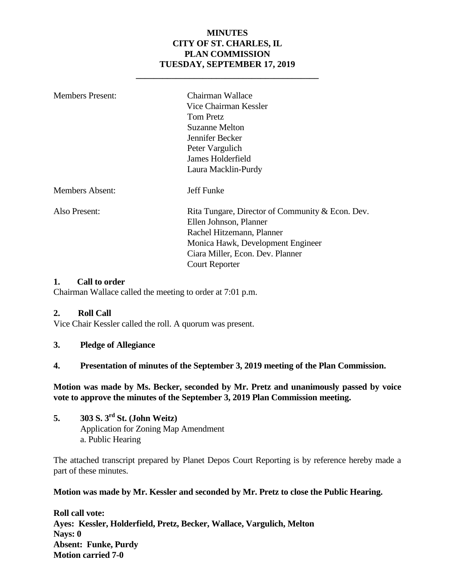#### **MINUTES CITY OF ST. CHARLES, IL PLAN COMMISSION TUESDAY, SEPTEMBER 17, 2019**

**\_\_\_\_\_\_\_\_\_\_\_\_\_\_\_\_\_\_\_\_\_\_\_\_\_\_\_\_\_\_\_\_\_\_\_\_\_\_\_\_\_**

| <b>Members Present:</b> | Chairman Wallace<br>Vice Chairman Kessler<br>Tom Pretz<br>Suzanne Melton<br>Jennifer Becker<br>Peter Vargulich<br>James Holderfield<br>Laura Macklin-Purdy                                                |
|-------------------------|-----------------------------------------------------------------------------------------------------------------------------------------------------------------------------------------------------------|
| <b>Members Absent:</b>  | Jeff Funke                                                                                                                                                                                                |
| Also Present:           | Rita Tungare, Director of Community & Econ. Dev.<br>Ellen Johnson, Planner<br>Rachel Hitzemann, Planner<br>Monica Hawk, Development Engineer<br>Ciara Miller, Econ. Dev. Planner<br><b>Court Reporter</b> |

#### **1. Call to order**

Chairman Wallace called the meeting to order at 7:01 p.m.

#### **2. Roll Call**

Vice Chair Kessler called the roll. A quorum was present.

**3. Pledge of Allegiance**

#### **4. Presentation of minutes of the September 3, 2019 meeting of the Plan Commission.**

**Motion was made by Ms. Becker, seconded by Mr. Pretz and unanimously passed by voice vote to approve the minutes of the September 3, 2019 Plan Commission meeting.** 

**5. 303 S. 3rd St. (John Weitz)** Application for Zoning Map Amendment a. Public Hearing

The attached transcript prepared by Planet Depos Court Reporting is by reference hereby made a part of these minutes.

**Motion was made by Mr. Kessler and seconded by Mr. Pretz to close the Public Hearing.**

**Roll call vote: Ayes: Kessler, Holderfield, Pretz, Becker, Wallace, Vargulich, Melton Nays: 0 Absent: Funke, Purdy Motion carried 7-0**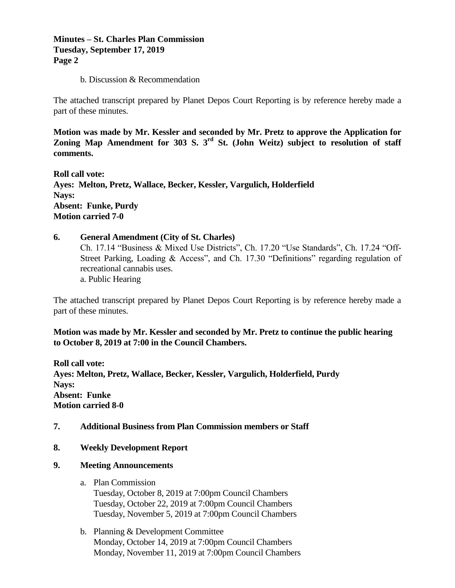#### **Minutes – St. Charles Plan Commission Tuesday, September 17, 2019 Page 2**

b. Discussion & Recommendation

The attached transcript prepared by Planet Depos Court Reporting is by reference hereby made a part of these minutes.

**Motion was made by Mr. Kessler and seconded by Mr. Pretz to approve the Application for Zoning Map Amendment for 303 S. 3rd St. (John Weitz) subject to resolution of staff comments.** 

**Roll call vote: Ayes: Melton, Pretz, Wallace, Becker, Kessler, Vargulich, Holderfield Nays: Absent: Funke, Purdy Motion carried 7-0**

#### **6. General Amendment (City of St. Charles)** Ch. 17.14 "Business & Mixed Use Districts", Ch. 17.20 "Use Standards", Ch. 17.24 "Off-Street Parking, Loading & Access", and Ch. 17.30 "Definitions" regarding regulation of recreational cannabis uses. a. Public Hearing

The attached transcript prepared by Planet Depos Court Reporting is by reference hereby made a part of these minutes.

**Motion was made by Mr. Kessler and seconded by Mr. Pretz to continue the public hearing to October 8, 2019 at 7:00 in the Council Chambers.**

**Roll call vote: Ayes: Melton, Pretz, Wallace, Becker, Kessler, Vargulich, Holderfield, Purdy Nays: Absent: Funke Motion carried 8-0**

#### **7. Additional Business from Plan Commission members or Staff**

**8. Weekly Development Report**

#### **9. Meeting Announcements**

a. Plan Commission

Tuesday, October 8, 2019 at 7:00pm Council Chambers Tuesday, October 22, 2019 at 7:00pm Council Chambers Tuesday, November 5, 2019 at 7:00pm Council Chambers

b. Planning & Development Committee Monday, October 14, 2019 at 7:00pm Council Chambers Monday, November 11, 2019 at 7:00pm Council Chambers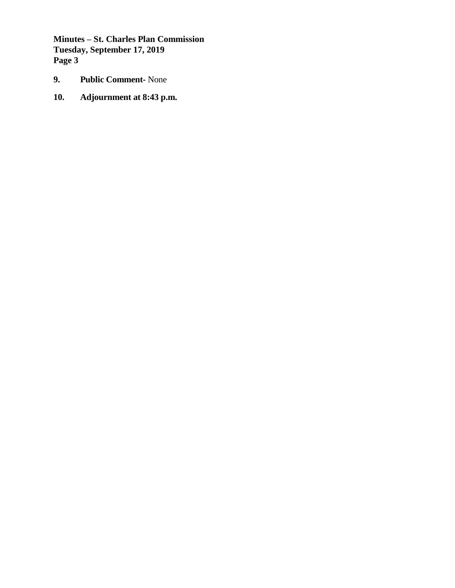**Minutes – St. Charles Plan Commission Tuesday, September 17, 2019 Page 3**

- **9. Public Comment-** None
- **10. Adjournment at 8:43 p.m.**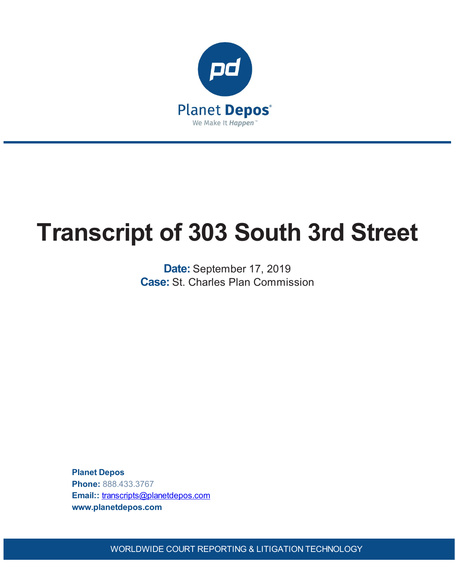

# **Transcript of 303 South 3rd Street**

**Date:** September 17, 2019 **Case:** St. Charles Plan Commission

**Planet Depos Phone:** 888.433.3767 **Email::** [transcripts@planetdepos.com](mailto:transcripts@planetdepos.com) **www.planetdepos.com**

WORLDWIDE COURT REPORTING & LITIGATION TECHNOLOGY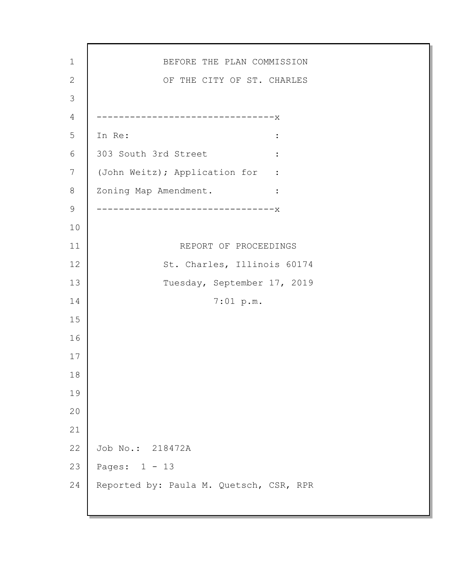BEFORE THE PLAN COMMISSION OF THE CITY OF ST. CHARLES --------------------------------x In Re:  $\qquad \qquad \blacksquare$ 303 South 3rd Street : (John Weitz); Application for : Zoning Map Amendment. : --------------------------------x REPORT OF PROCEEDINGS St. Charles, Illinois 60174 Tuesday, September 17, 2019 7:01 p.m. Job No.: 218472A Pages: 1 - 13 Reported by: Paula M. Quetsch, CSR, RPR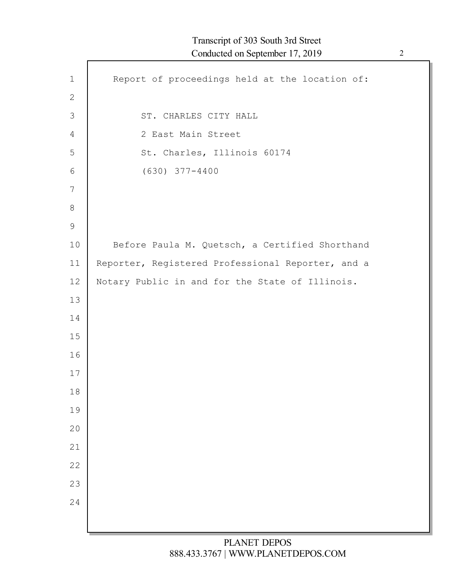| $\mathbf 1$    | Report of proceedings held at the location of:    |
|----------------|---------------------------------------------------|
| $\mathbf{2}$   |                                                   |
| $\mathfrak{Z}$ | ST. CHARLES CITY HALL                             |
| $\overline{4}$ | 2 East Main Street                                |
| 5              | St. Charles, Illinois 60174                       |
| 6              | $(630)$ $377 - 4400$                              |
| 7              |                                                   |
| 8              |                                                   |
| 9              |                                                   |
| 10             | Before Paula M. Quetsch, a Certified Shorthand    |
| 11             | Reporter, Registered Professional Reporter, and a |
| 12             | Notary Public in and for the State of Illinois.   |
| 13             |                                                   |
| 14             |                                                   |
| 15             |                                                   |
| 16             |                                                   |
| 17             |                                                   |
| 18             |                                                   |
| 19             |                                                   |
| 20             |                                                   |
| 21             |                                                   |
| 22             |                                                   |
| 23             |                                                   |
| 24             |                                                   |
|                |                                                   |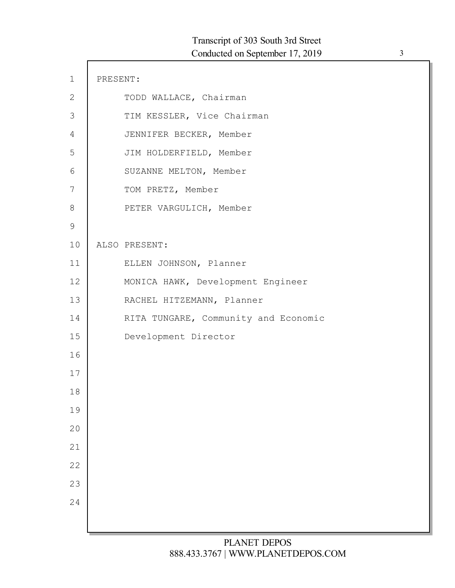| $\mathbf 1$    | PRESENT: |                                      |
|----------------|----------|--------------------------------------|
| $\mathbf{2}$   |          | TODD WALLACE, Chairman               |
| $\mathfrak{Z}$ |          | TIM KESSLER, Vice Chairman           |
| 4              |          | JENNIFER BECKER, Member              |
| 5              |          | JIM HOLDERFIELD, Member              |
| 6              |          | SUZANNE MELTON, Member               |
| 7              |          | TOM PRETZ, Member                    |
| $8\,$          |          | PETER VARGULICH, Member              |
| $\mathcal{G}$  |          |                                      |
| 10             |          | ALSO PRESENT:                        |
| 11             |          | ELLEN JOHNSON, Planner               |
| 12             |          | MONICA HAWK, Development Engineer    |
| 13             |          | RACHEL HITZEMANN, Planner            |
| 14             |          | RITA TUNGARE, Community and Economic |
| 15             |          | Development Director                 |
| 16             |          |                                      |
| 17             |          |                                      |
| 18             |          |                                      |
| 19             |          |                                      |
| 20             |          |                                      |
| 21             |          |                                      |
| 22             |          |                                      |
| 23             |          |                                      |
| 24             |          |                                      |
|                |          |                                      |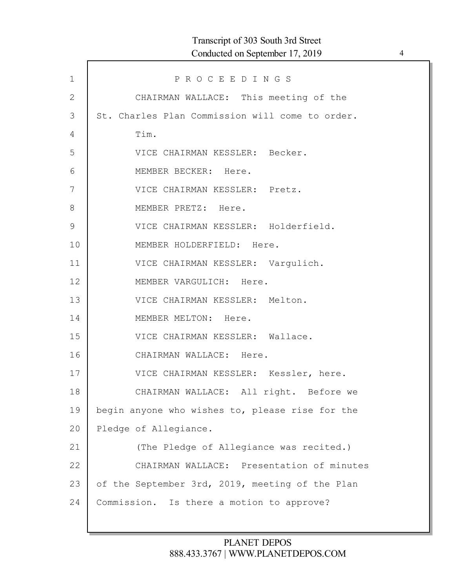| $\mathbf 1$ | PROCEEDINGS                                     |
|-------------|-------------------------------------------------|
| 2           | CHAIRMAN WALLACE: This meeting of the           |
| 3           | St. Charles Plan Commission will come to order. |
| 4           | Tim.                                            |
| 5           | VICE CHAIRMAN KESSLER: Becker.                  |
| 6           | MEMBER BECKER: Here.                            |
| 7           | VICE CHAIRMAN KESSLER: Pretz.                   |
| 8           | MEMBER PRETZ: Here.                             |
| $\mathsf 9$ | VICE CHAIRMAN KESSLER: Holderfield.             |
| 10          | MEMBER HOLDERFIELD: Here.                       |
| 11          | VICE CHAIRMAN KESSLER: Vargulich.               |
| 12          | MEMBER VARGULICH: Here.                         |
| 13          | VICE CHAIRMAN KESSLER: Melton.                  |
| 14          | MEMBER MELTON: Here.                            |
| 15          | VICE CHAIRMAN KESSLER: Wallace.                 |
| 16          | CHAIRMAN WALLACE: Here.                         |
| 17          | VICE CHAIRMAN KESSLER: Kessler, here.           |
| 18          | CHAIRMAN WALLACE: All right. Before we          |
| 19          | begin anyone who wishes to, please rise for the |
| 20          | Pledge of Allegiance.                           |
| 21          | (The Pledge of Allegiance was recited.)         |
| 22          | CHAIRMAN WALLACE: Presentation of minutes       |
| 23          | of the September 3rd, 2019, meeting of the Plan |
| 24          | Commission. Is there a motion to approve?       |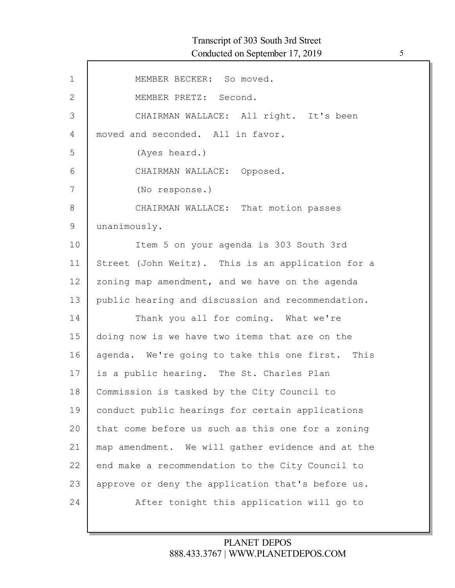| $\mathbf{1}$ | MEMBER BECKER: So moved.                          |
|--------------|---------------------------------------------------|
| $\mathbf{2}$ | MEMBER PRETZ: Second.                             |
| 3            | CHAIRMAN WALLACE: All right. It's been            |
| 4            | moved and seconded. All in favor.                 |
| 5            | (Ayes heard.)                                     |
| 6            | CHAIRMAN WALLACE: Opposed.                        |
| 7            | (No response.)                                    |
| 8            | CHAIRMAN WALLACE: That motion passes              |
| $\mathsf 9$  | unanimously.                                      |
| 10           | Item 5 on your agenda is 303 South 3rd            |
| 11           | Street (John Weitz). This is an application for a |
| 12           | zoning map amendment, and we have on the agenda   |
| 13           | public hearing and discussion and recommendation. |
| 14           | Thank you all for coming. What we're              |
| 15           | doing now is we have two items that are on the    |
| 16           | agenda. We're going to take this one first. This  |
| 17           | is a public hearing. The St. Charles Plan         |
| 18           | Commission is tasked by the City Council to       |
| 19           | conduct public hearings for certain applications  |
| 20           | that come before us such as this one for a zoning |
| 21           | map amendment. We will gather evidence and at the |
| 22           | end make a recommendation to the City Council to  |
| 23           | approve or deny the application that's before us. |
| 24           | After tonight this application will go to         |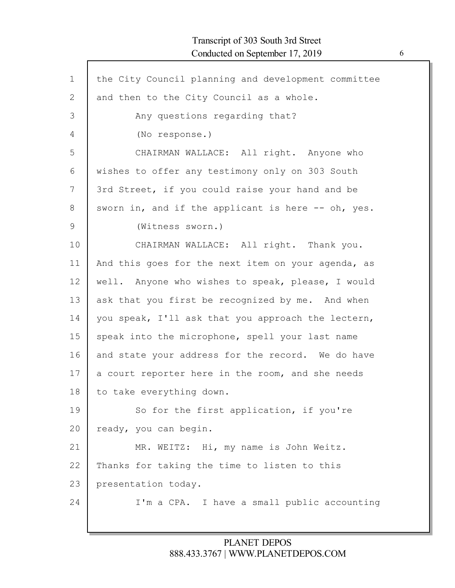Г

| $\mathbf{1}$ | the City Council planning and development committee |
|--------------|-----------------------------------------------------|
| $\mathbf{2}$ | and then to the City Council as a whole.            |
| 3            | Any questions regarding that?                       |
| 4            | (No response.)                                      |
| 5            | CHAIRMAN WALLACE: All right. Anyone who             |
| 6            | wishes to offer any testimony only on 303 South     |
| 7            | 3rd Street, if you could raise your hand and be     |
| 8            | sworn in, and if the applicant is here -- oh, yes.  |
| 9            | (Witness sworn.)                                    |
| 10           | CHAIRMAN WALLACE: All right. Thank you.             |
| 11           | And this goes for the next item on your agenda, as  |
| 12           | well. Anyone who wishes to speak, please, I would   |
| 13           | ask that you first be recognized by me. And when    |
| 14           | you speak, I'll ask that you approach the lectern,  |
| 15           | speak into the microphone, spell your last name     |
| 16           | and state your address for the record. We do have   |
| 17           | a court reporter here in the room, and she needs    |
| 18           | to take everything down.                            |
| 19           | So for the first application, if you're             |
| 20           | ready, you can begin.                               |
| 21           | MR. WEITZ: Hi, my name is John Weitz.               |
| 22           | Thanks for taking the time to listen to this        |
| 23           | presentation today.                                 |
| 24           | I'm a CPA. I have a small public accounting         |
|              |                                                     |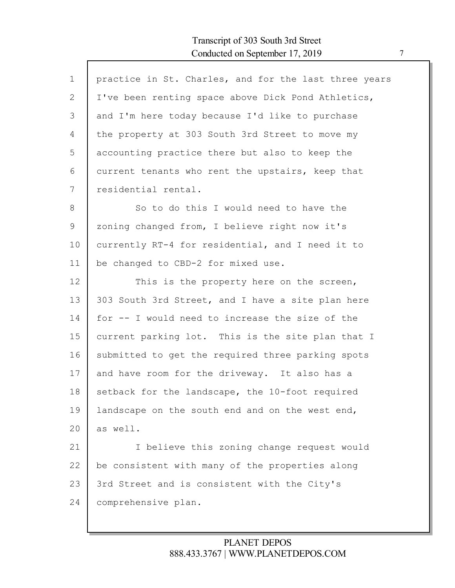$\mathsf{l}$ 

| $\mathbf 1$ | practice in St. Charles, and for the last three years |
|-------------|-------------------------------------------------------|
| 2           | I've been renting space above Dick Pond Athletics,    |
| 3           | and I'm here today because I'd like to purchase       |
| 4           | the property at 303 South 3rd Street to move my       |
| 5           | accounting practice there but also to keep the        |
| 6           | current tenants who rent the upstairs, keep that      |
| 7           | residential rental.                                   |
| 8           | So to do this I would need to have the                |
| 9           | zoning changed from, I believe right now it's         |
| 10          | currently RT-4 for residential, and I need it to      |
| 11          | be changed to CBD-2 for mixed use.                    |
| 12          | This is the property here on the screen,              |
| 13          | 303 South 3rd Street, and I have a site plan here     |
| 14          | for -- I would need to increase the size of the       |
| 15          | current parking lot. This is the site plan that I     |
| 16          | submitted to get the required three parking spots     |
| 17          | and have room for the driveway. It also has a         |
| 18          | setback for the landscape, the 10-foot required       |
| 19          | landscape on the south end and on the west end,       |
| 20          | as well.                                              |
| 21          | I believe this zoning change request would            |
| 22          | be consistent with many of the properties along       |
| 23          | 3rd Street and is consistent with the City's          |
| 24          | comprehensive plan.                                   |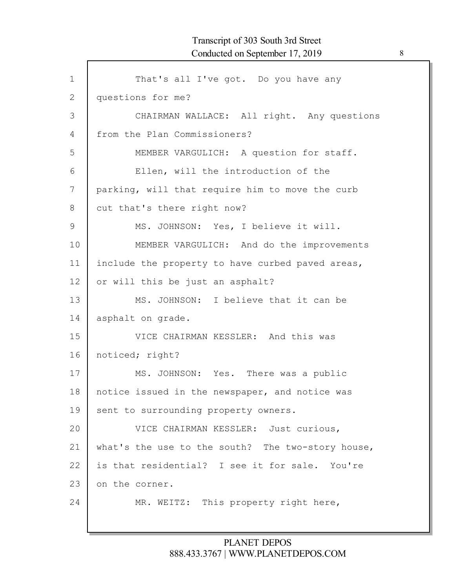| $\mathbf 1$   | That's all I've got. Do you have any              |
|---------------|---------------------------------------------------|
| 2             | questions for me?                                 |
| 3             | CHAIRMAN WALLACE: All right. Any questions        |
| 4             | from the Plan Commissioners?                      |
| 5             | MEMBER VARGULICH: A question for staff.           |
| 6             | Ellen, will the introduction of the               |
| 7             | parking, will that require him to move the curb   |
| 8             | cut that's there right now?                       |
| $\mathcal{G}$ | MS. JOHNSON: Yes, I believe it will.              |
| 10            | MEMBER VARGULICH: And do the improvements         |
| 11            | include the property to have curbed paved areas,  |
| 12            | or will this be just an asphalt?                  |
| 13            | MS. JOHNSON: I believe that it can be             |
| 14            | asphalt on grade.                                 |
| 15            | VICE CHAIRMAN KESSLER: And this was               |
| 16            | noticed; right?                                   |
| 17            | MS. JOHNSON: Yes. There was a public              |
| 18            | notice issued in the newspaper, and notice was    |
| 19            | sent to surrounding property owners.              |
| 20            | VICE CHAIRMAN KESSLER: Just curious,              |
| 21            | what's the use to the south? The two-story house, |
| 22            | is that residential? I see it for sale. You're    |
| 23            | on the corner.                                    |
| 24            | MR. WEITZ: This property right here,              |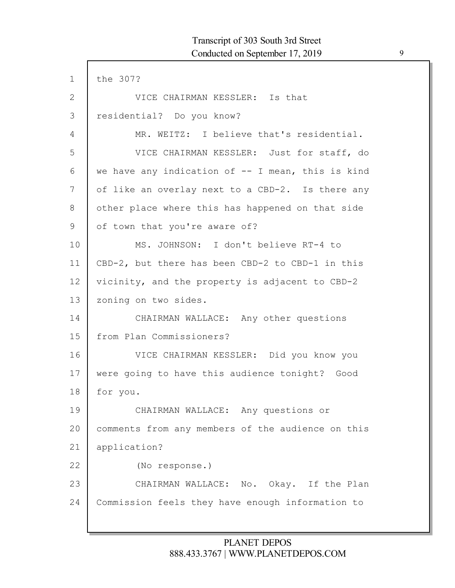| the 307?                                          |
|---------------------------------------------------|
| VICE CHAIRMAN KESSLER: Is that                    |
| residential? Do you know?                         |
| MR. WEITZ: I believe that's residential.          |
| VICE CHAIRMAN KESSLER: Just for staff, do         |
| we have any indication of -- I mean, this is kind |
| of like an overlay next to a CBD-2. Is there any  |
| other place where this has happened on that side  |
| of town that you're aware of?                     |
| MS. JOHNSON: I don't believe RT-4 to              |
| CBD-2, but there has been CBD-2 to CBD-1 in this  |
| vicinity, and the property is adjacent to CBD-2   |
| zoning on two sides.                              |
| CHAIRMAN WALLACE: Any other questions             |
| from Plan Commissioners?                          |
| VICE CHAIRMAN KESSLER: Did you know you           |
| were going to have this audience tonight? Good    |
| for you.                                          |
| CHAIRMAN WALLACE: Any questions or                |
| comments from any members of the audience on this |
| application?                                      |
| (No response.)                                    |
| CHAIRMAN WALLACE: No. Okay. If the Plan           |
|                                                   |
|                                                   |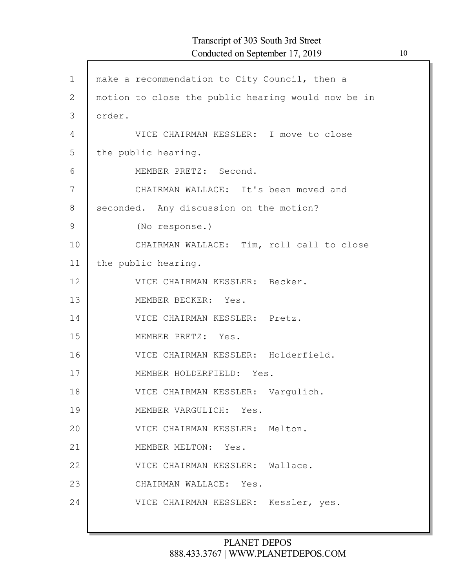| $\mathbf 1$ | make a recommendation to City Council, then a      |
|-------------|----------------------------------------------------|
| 2           | motion to close the public hearing would now be in |
| 3           | order.                                             |
| 4           | VICE CHAIRMAN KESSLER: I move to close             |
| 5           | the public hearing.                                |
| 6           | MEMBER PRETZ: Second.                              |
| 7           | CHAIRMAN WALLACE: It's been moved and              |
| 8           | seconded. Any discussion on the motion?            |
| 9           | (No response.)                                     |
| 10          | CHAIRMAN WALLACE: Tim, roll call to close          |
| 11          | the public hearing.                                |
| 12          | VICE CHAIRMAN KESSLER: Becker.                     |
| 13          | MEMBER BECKER: Yes.                                |
| 14          | VICE CHAIRMAN KESSLER: Pretz.                      |
| 15          | MEMBER PRETZ: Yes.                                 |
| 16          | VICE CHAIRMAN KESSLER: Holderfield.                |
| 17          | MEMBER HOLDERFIELD: Yes.                           |
| 18          | VICE CHAIRMAN KESSLER: Vargulich.                  |
| 19          | MEMBER VARGULICH: Yes.                             |
| 20          | VICE CHAIRMAN KESSLER: Melton.                     |
| 21          | MEMBER MELTON: Yes.                                |
| 22          | VICE CHAIRMAN KESSLER: Wallace.                    |
| 23          | CHAIRMAN WALLACE: Yes.                             |
| 24          | VICE CHAIRMAN KESSLER: Kessler, yes.               |
|             |                                                    |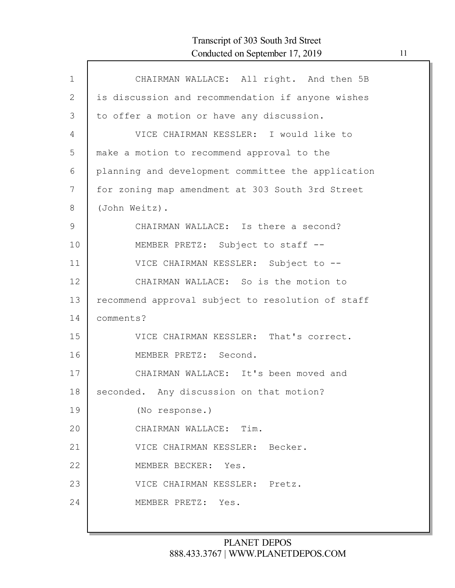| $\mathbf{1}$  | CHAIRMAN WALLACE: All right. And then 5B           |
|---------------|----------------------------------------------------|
| 2             | is discussion and recommendation if anyone wishes  |
| 3             | to offer a motion or have any discussion.          |
| 4             | VICE CHAIRMAN KESSLER: I would like to             |
| 5             | make a motion to recommend approval to the         |
| 6             | planning and development committee the application |
| 7             | for zoning map amendment at 303 South 3rd Street   |
| 8             | (John Weitz).                                      |
| $\mathcal{G}$ | CHAIRMAN WALLACE: Is there a second?               |
| 10            | MEMBER PRETZ: Subject to staff --                  |
| 11            | VICE CHAIRMAN KESSLER: Subject to --               |
| 12            | CHAIRMAN WALLACE: So is the motion to              |
| 13            | recommend approval subject to resolution of staff  |
| 14            | comments?                                          |
| 15            | VICE CHAIRMAN KESSLER: That's correct.             |
| 16            | MEMBER PRETZ: Second.                              |
| 17            | CHAIRMAN WALLACE: It's been moved and              |
| 18            | seconded. Any discussion on that motion?           |
| 19            | (No response.)                                     |
| 20            | CHAIRMAN WALLACE: Tim.                             |
| 21            | VICE CHAIRMAN KESSLER: Becker.                     |
| 22            | MEMBER BECKER: Yes.                                |
| 23            | VICE CHAIRMAN KESSLER: Pretz.                      |
| 24            | MEMBER PRETZ: Yes.                                 |
|               |                                                    |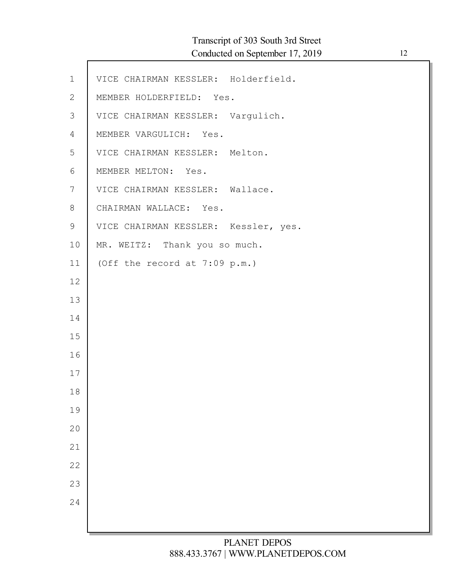Г

| $\mathbf 1$    | VICE CHAIRMAN KESSLER: Holderfield.  |
|----------------|--------------------------------------|
| $\overline{2}$ | MEMBER HOLDERFIELD: Yes.             |
| $\mathfrak{Z}$ | VICE CHAIRMAN KESSLER: Vargulich.    |
| 4              | MEMBER VARGULICH: Yes.               |
| 5              | VICE CHAIRMAN KESSLER: Melton.       |
| 6              | MEMBER MELTON: Yes.                  |
| 7              | VICE CHAIRMAN KESSLER: Wallace.      |
| 8              | CHAIRMAN WALLACE: Yes.               |
| 9              | VICE CHAIRMAN KESSLER: Kessler, yes. |
| 10             | MR. WEITZ: Thank you so much.        |
| 11             | (Off the record at $7:09$ p.m.)      |
| 12             |                                      |
| 13             |                                      |
| 14             |                                      |
| 15             |                                      |
| 16             |                                      |
| 17             |                                      |
| 18             |                                      |
| 19             |                                      |
| 20             |                                      |
| 21             |                                      |
| 22             |                                      |
| 23             |                                      |
| 24             |                                      |
|                |                                      |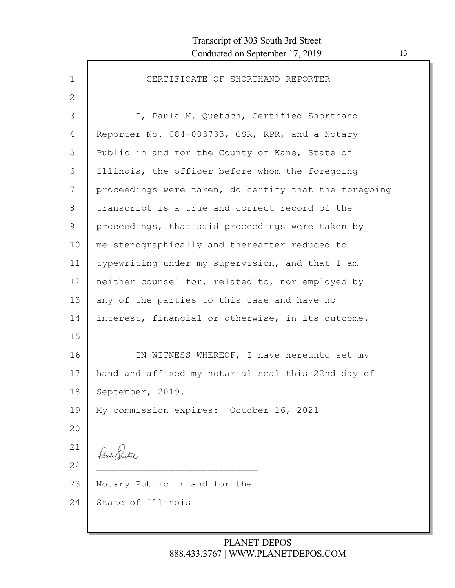$\mathsf{l}$ 

| 1               | CERTIFICATE OF SHORTHAND REPORTER                     |
|-----------------|-------------------------------------------------------|
| $\mathbf{2}$    |                                                       |
| 3               | I, Paula M. Quetsch, Certified Shorthand              |
| 4               | Reporter No. 084-003733, CSR, RPR, and a Notary       |
| 5               | Public in and for the County of Kane, State of        |
| 6               | Illinois, the officer before whom the foregoing       |
| 7               | proceedings were taken, do certify that the foregoing |
| 8               | transcript is a true and correct record of the        |
| 9               | proceedings, that said proceedings were taken by      |
| 10              | me stenographically and thereafter reduced to         |
| 11              | typewriting under my supervision, and that I am       |
| 12 <sup>°</sup> | neither counsel for, related to, nor employed by      |
| 13              | any of the parties to this case and have no           |
| 14              | interest, financial or otherwise, in its outcome.     |
| 15              |                                                       |
| 16              | IN WITNESS WHEREOF, I have hereunto set my            |
| 17              | hand and affixed my notarial seal this 22nd day of    |
| 18              | September, 2019.                                      |
| 19              | My commission expires: October 16, 2021               |
| 20              |                                                       |
| 21              | Paul Puttel ,                                         |
| 22              |                                                       |
| 23              | Notary Public in and for the                          |
| 24              | State of Illinois                                     |
|                 |                                                       |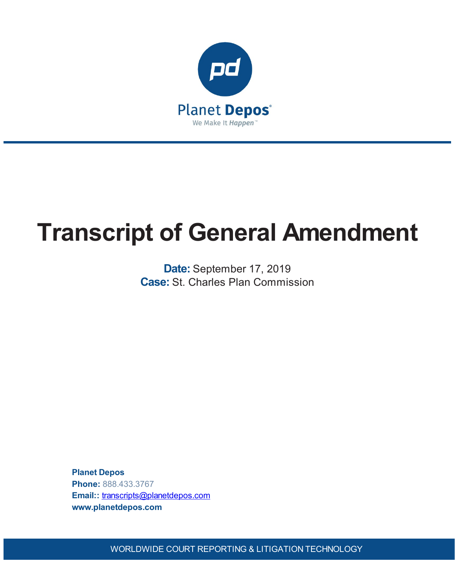

# **Transcript of General Amendment**

**Date:** September 17, 2019 **Case:** St. Charles Plan Commission

**Planet Depos Phone:** 888.433.3767 **Email::** [transcripts@planetdepos.com](mailto:transcripts@planetdepos.com) **www.planetdepos.com**

WORLDWIDE COURT REPORTING & LITIGATION TECHNOLOGY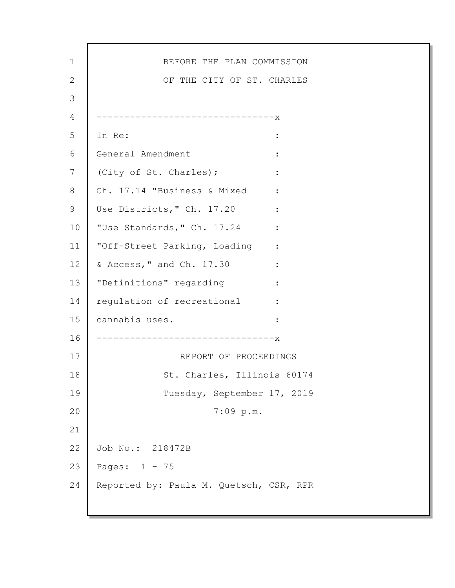1 2 3 4 5 6 7 8 9 10 11 12 13 14 15 16 17 18 19 20 21 22 23 24 BEFORE THE PLAN COMMISSION OF THE CITY OF ST. CHARLES --------------------------------x In Re:  $\qquad \qquad$ General Amendment : (City of St. Charles);  $\cdot$  : Ch. 17.14 "Business & Mixed : Use Districts," Ch. 17.20 : "Use Standards," Ch. 17.24 : "Off-Street Parking, Loading : & Access," and Ch. 17.30 : "Definitions" regarding : regulation of recreational : cannabis uses. : --------------------------------x REPORT OF PROCEEDINGS St. Charles, Illinois 60174 Tuesday, September 17, 2019 7:09 p.m. Job No.: 218472B Pages: 1 - 75 Reported by: Paula M. Quetsch, CSR, RPR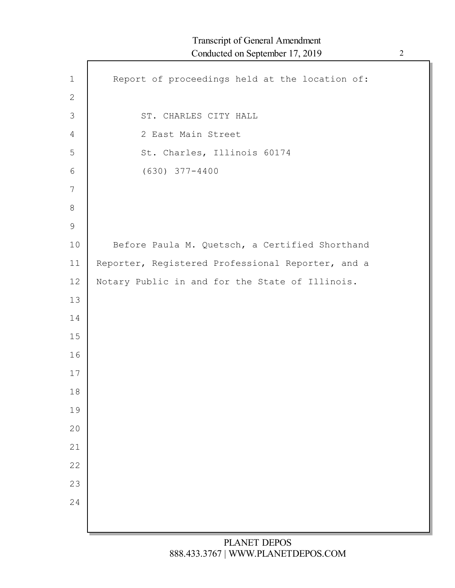| $\mathbf 1$    | Report of proceedings held at the location of:    |
|----------------|---------------------------------------------------|
| $\mathbf{2}$   |                                                   |
| $\mathfrak{Z}$ | ST. CHARLES CITY HALL                             |
| 4              | 2 East Main Street                                |
| 5              | St. Charles, Illinois 60174                       |
| 6              | $(630)$ $377 - 4400$                              |
| $\overline{7}$ |                                                   |
| $8\,$          |                                                   |
| $\mathsf 9$    |                                                   |
| 10             | Before Paula M. Quetsch, a Certified Shorthand    |
| 11             | Reporter, Registered Professional Reporter, and a |
| 12             | Notary Public in and for the State of Illinois.   |
| 13             |                                                   |
| 14             |                                                   |
| 15             |                                                   |
| 16             |                                                   |
| 17             |                                                   |
| 18             |                                                   |
| 19             |                                                   |
| 20             |                                                   |
| 21             |                                                   |
| 22             |                                                   |
| 23             |                                                   |
| 24             |                                                   |
|                |                                                   |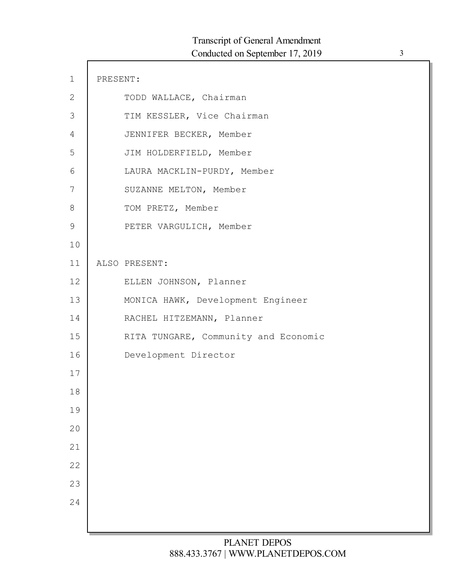| $\mathbf 1$    | PRESENT: |                                      |
|----------------|----------|--------------------------------------|
| $\mathbf{2}$   |          | TODD WALLACE, Chairman               |
| $\mathfrak{Z}$ |          | TIM KESSLER, Vice Chairman           |
| 4              |          | JENNIFER BECKER, Member              |
| 5              |          | JIM HOLDERFIELD, Member              |
| 6              |          | LAURA MACKLIN-PURDY, Member          |
| 7              |          | SUZANNE MELTON, Member               |
| $8\,$          |          | TOM PRETZ, Member                    |
| $\mathcal{G}$  |          | PETER VARGULICH, Member              |
| 10             |          |                                      |
| 11             |          | ALSO PRESENT:                        |
| 12             |          | ELLEN JOHNSON, Planner               |
| 13             |          | MONICA HAWK, Development Engineer    |
| 14             |          | RACHEL HITZEMANN, Planner            |
| 15             |          | RITA TUNGARE, Community and Economic |
| 16             |          | Development Director                 |
| 17             |          |                                      |
| 18             |          |                                      |
| 19             |          |                                      |
| 20             |          |                                      |
| 21             |          |                                      |
| 22             |          |                                      |
| 23             |          |                                      |
| 24             |          |                                      |
|                |          |                                      |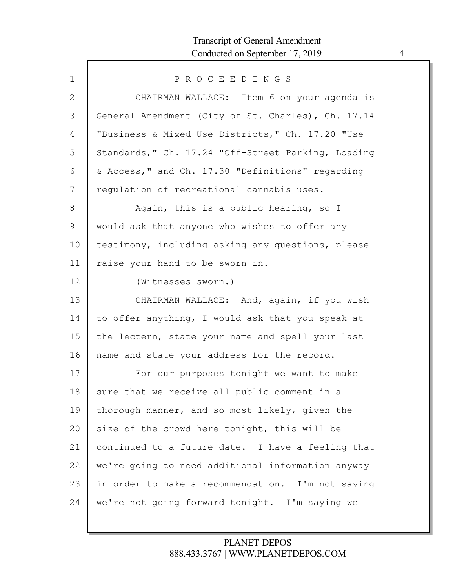| $\mathbf 1$  | PROCEEDINGS                                        |
|--------------|----------------------------------------------------|
| $\mathbf{2}$ | CHAIRMAN WALLACE: Item 6 on your agenda is         |
| 3            | General Amendment (City of St. Charles), Ch. 17.14 |
| 4            | "Business & Mixed Use Districts," Ch. 17.20 "Use   |
| 5            | Standards," Ch. 17.24 "Off-Street Parking, Loading |
| 6            | & Access, " and Ch. 17.30 "Definitions" regarding  |
| 7            | regulation of recreational cannabis uses.          |
| $8\,$        | Again, this is a public hearing, so I              |
| 9            | would ask that anyone who wishes to offer any      |
| 10           | testimony, including asking any questions, please  |
| 11           | raise your hand to be sworn in.                    |
| 12           | (Witnesses sworn.)                                 |
| 13           | CHAIRMAN WALLACE: And, again, if you wish          |
| 14           | to offer anything, I would ask that you speak at   |
| 15           | the lectern, state your name and spell your last   |
| 16           | name and state your address for the record.        |
| 17           | For our purposes tonight we want to make           |
| 18           | sure that we receive all public comment in a       |
| 19           | thorough manner, and so most likely, given the     |
| 20           | size of the crowd here tonight, this will be       |
| 21           | continued to a future date. I have a feeling that  |
| 22           | we're going to need additional information anyway  |
| 23           | in order to make a recommendation. I'm not saying  |
| 24           | we're not going forward tonight. I'm saying we     |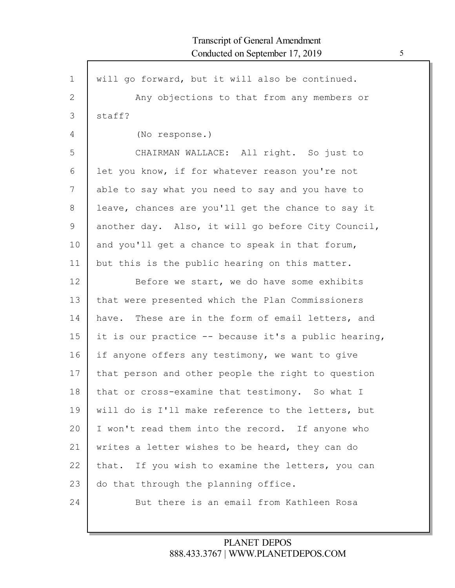| $\mathbf{1}$ | will go forward, but it will also be continued.      |
|--------------|------------------------------------------------------|
| $\mathbf{2}$ | Any objections to that from any members or           |
| 3            | staff?                                               |
| 4            | (No response.)                                       |
| 5            | CHAIRMAN WALLACE: All right. So just to              |
| 6            | let you know, if for whatever reason you're not      |
| 7            | able to say what you need to say and you have to     |
| 8            | leave, chances are you'll get the chance to say it   |
| $\mathsf 9$  | another day. Also, it will go before City Council,   |
| 10           | and you'll get a chance to speak in that forum,      |
| 11           | but this is the public hearing on this matter.       |
| 12           | Before we start, we do have some exhibits            |
| 13           | that were presented which the Plan Commissioners     |
| 14           | have. These are in the form of email letters, and    |
| 15           | it is our practice -- because it's a public hearing, |
| 16           | if anyone offers any testimony, we want to give      |
| 17           | that person and other people the right to question   |
| 18           | that or cross-examine that testimony. So what I      |
| 19           | will do is I'll make reference to the letters, but   |
| 20           | I won't read them into the record. If anyone who     |
| 21           | writes a letter wishes to be heard, they can do      |
| 22           | that. If you wish to examine the letters, you can    |
| 23           | do that through the planning office.                 |
| 24           | But there is an email from Kathleen Rosa             |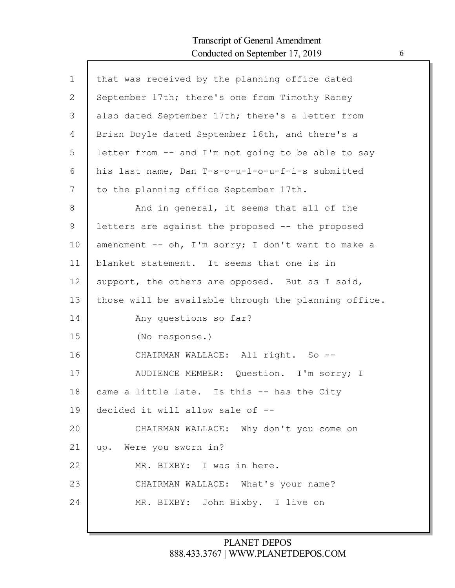| $\mathbf 1$ | that was received by the planning office dated       |
|-------------|------------------------------------------------------|
| 2           | September 17th; there's one from Timothy Raney       |
| 3           | also dated September 17th; there's a letter from     |
| 4           | Brian Doyle dated September 16th, and there's a      |
| 5           | letter from -- and I'm not going to be able to say   |
| 6           | his last name, Dan T-s-o-u-l-o-u-f-i-s submitted     |
| 7           | to the planning office September 17th.               |
| 8           | And in general, it seems that all of the             |
| 9           | letters are against the proposed -- the proposed     |
| 10          | amendment -- oh, I'm sorry; I don't want to make a   |
| 11          | blanket statement. It seems that one is in           |
| 12          | support, the others are opposed. But as I said,      |
| 13          | those will be available through the planning office. |
| 14          | Any questions so far?                                |
| 15          | (No response.)                                       |
| 16          | CHAIRMAN WALLACE: All right. So --                   |
| 17          | AUDIENCE MEMBER: Question. I'm sorry; I              |
| 18          | came a little late. Is this -- has the City          |
| 19          | decided it will allow sale of --                     |
| 20          | CHAIRMAN WALLACE: Why don't you come on              |
| 21          | up. Were you sworn in?                               |
| 22          | MR. BIXBY: I was in here.                            |
| 23          | CHAIRMAN WALLACE: What's your name?                  |
| 24          | MR. BIXBY: John Bixby. I live on                     |
|             |                                                      |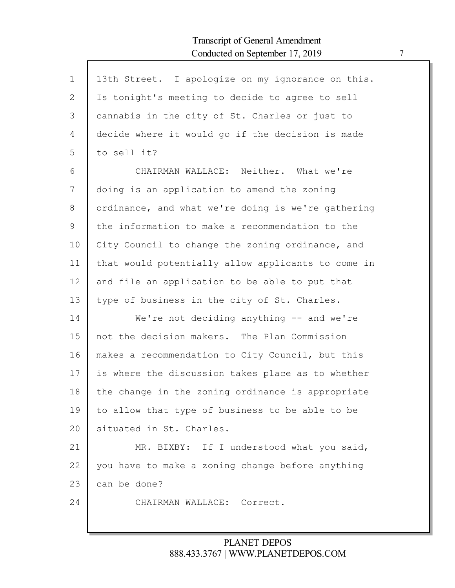Г

| $\mathbf 1$ | 13th Street. I apologize on my ignorance on this.  |
|-------------|----------------------------------------------------|
| 2           | Is tonight's meeting to decide to agree to sell    |
| 3           | cannabis in the city of St. Charles or just to     |
| 4           | decide where it would go if the decision is made   |
| 5           | to sell it?                                        |
| 6           | CHAIRMAN WALLACE: Neither. What we're              |
| 7           | doing is an application to amend the zoning        |
| 8           | ordinance, and what we're doing is we're gathering |
| 9           | the information to make a recommendation to the    |
| 10          | City Council to change the zoning ordinance, and   |
| 11          | that would potentially allow applicants to come in |
| 12          | and file an application to be able to put that     |
| 13          | type of business in the city of St. Charles.       |
| 14          | We're not deciding anything $-$ and we're          |
| 15          | not the decision makers. The Plan Commission       |
| 16          | makes a recommendation to City Council, but this   |
| 17          | is where the discussion takes place as to whether  |
| 18          | the change in the zoning ordinance is appropriate  |
| 19          | to allow that type of business to be able to be    |
| 20          | situated in St. Charles.                           |
| 21          | MR. BIXBY: If I understood what you said,          |
| 22          | you have to make a zoning change before anything   |
| 23          | can be done?                                       |
| 24          | CHAIRMAN WALLACE: Correct.                         |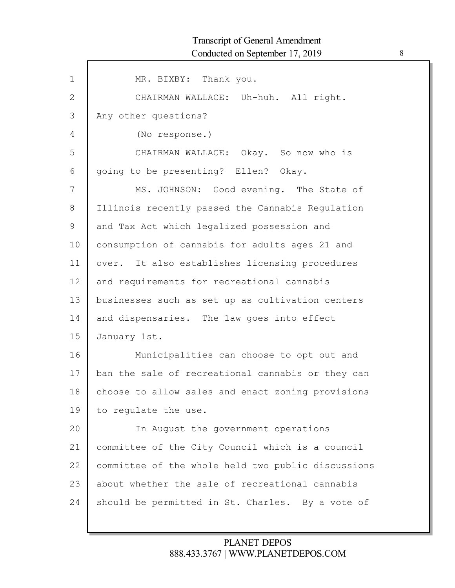| $\mathbf 1$ | MR. BIXBY: Thank you.                              |
|-------------|----------------------------------------------------|
| 2           | CHAIRMAN WALLACE: Uh-huh. All right.               |
| 3           | Any other questions?                               |
| 4           | (No response.)                                     |
| 5           | CHAIRMAN WALLACE: Okay. So now who is              |
| 6           | going to be presenting? Ellen? Okay.               |
| 7           | MS. JOHNSON: Good evening. The State of            |
| 8           | Illinois recently passed the Cannabis Regulation   |
| 9           | and Tax Act which legalized possession and         |
| 10          | consumption of cannabis for adults ages 21 and     |
| 11          | over. It also establishes licensing procedures     |
| 12          | and requirements for recreational cannabis         |
| 13          | businesses such as set up as cultivation centers   |
| 14          | and dispensaries. The law goes into effect         |
| 15          | January 1st.                                       |
| 16          | Municipalities can choose to opt out and           |
| 17          | ban the sale of recreational cannabis or they can  |
| 18          | choose to allow sales and enact zoning provisions  |
| 19          | to regulate the use.                               |
| 20          | In August the government operations                |
| 21          | committee of the City Council which is a council   |
| 22          | committee of the whole held two public discussions |
| 23          | about whether the sale of recreational cannabis    |
| 24          | should be permitted in St. Charles. By a vote of   |
|             |                                                    |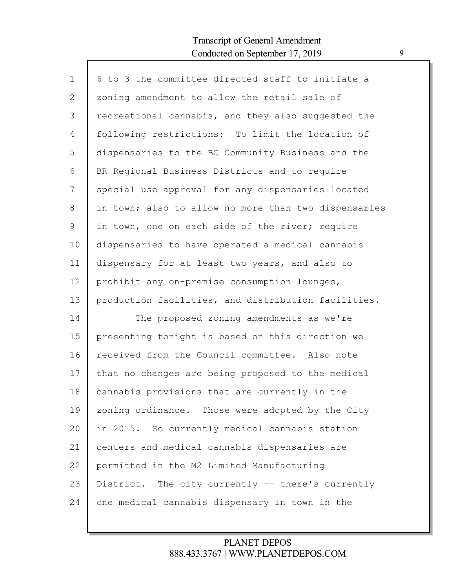Г

| $\mathbf 1$ | 6 to 3 the committee directed staff to initiate a    |
|-------------|------------------------------------------------------|
| 2           | zoning amendment to allow the retail sale of         |
| 3           | recreational cannabis, and they also suggested the   |
| 4           | following restrictions: To limit the location of     |
| 5           | dispensaries to the BC Community Business and the    |
| 6           | BR Regional Business Districts and to require        |
| 7           | special use approval for any dispensaries located    |
| $8\,$       | in town; also to allow no more than two dispensaries |
| $\mathsf 9$ | in town, one on each side of the river; require      |
| 10          | dispensaries to have operated a medical cannabis     |
| 11          | dispensary for at least two years, and also to       |
| 12          | prohibit any on-premise consumption lounges,         |
| 13          | production facilities, and distribution facilities.  |
| 14          | The proposed zoning amendments as we're              |
| 15          | presenting tonight is based on this direction we     |
| 16          | received from the Council committee. Also note       |
| 17          | that no changes are being proposed to the medical    |
| 18          | cannabis provisions that are currently in the        |
| 19          | zoning ordinance. Those were adopted by the City     |
| 20          | in 2015. So currently medical cannabis station       |
| 21          | centers and medical cannabis dispensaries are        |
| 22          | permitted in the M2 Limited Manufacturing            |
| 23          | District. The city currently -- there's currently    |
| 24          | one medical cannabis dispensary in town in the       |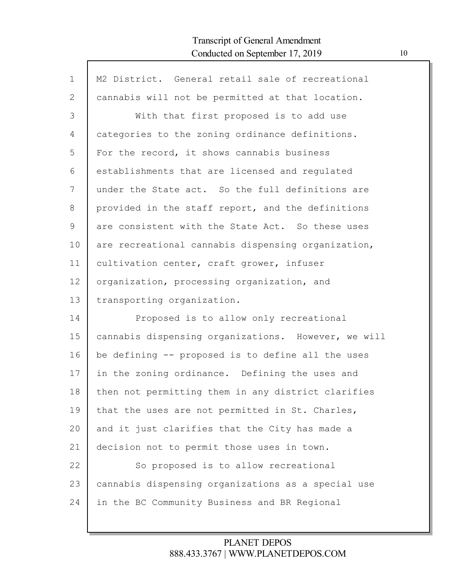Г

| $\mathbf{1}$ | M2 District. General retail sale of recreational    |
|--------------|-----------------------------------------------------|
| 2            | cannabis will not be permitted at that location.    |
| 3            | With that first proposed is to add use              |
| 4            | categories to the zoning ordinance definitions.     |
| 5            | For the record, it shows cannabis business          |
| 6            | establishments that are licensed and regulated      |
| 7            | under the State act. So the full definitions are    |
| 8            | provided in the staff report, and the definitions   |
| 9            | are consistent with the State Act. So these uses    |
| 10           | are recreational cannabis dispensing organization,  |
| 11           | cultivation center, craft grower, infuser           |
| 12           | organization, processing organization, and          |
| 13           | transporting organization.                          |
| 14           | Proposed is to allow only recreational              |
| 15           | cannabis dispensing organizations. However, we will |
| 16           | be defining -- proposed is to define all the uses   |
| 17           | in the zoning ordinance. Defining the uses and      |
| 18           | then not permitting them in any district clarifies  |
| 19           | that the uses are not permitted in St. Charles,     |
| 20           | and it just clarifies that the City has made a      |
| 21           | decision not to permit those uses in town.          |
| 22           | So proposed is to allow recreational                |
| 23           | cannabis dispensing organizations as a special use  |
| 24           | in the BC Community Business and BR Regional        |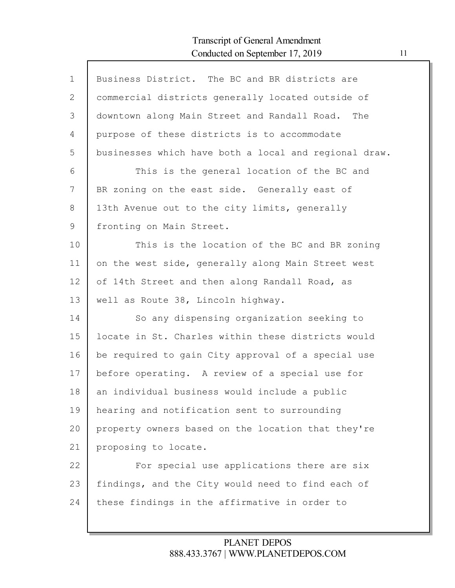| $\mathbf 1$ | Business District. The BC and BR districts are        |
|-------------|-------------------------------------------------------|
| 2           | commercial districts generally located outside of     |
| 3           | downtown along Main Street and Randall Road.<br>The   |
| 4           | purpose of these districts is to accommodate          |
| 5           | businesses which have both a local and regional draw. |
| 6           | This is the general location of the BC and            |
| 7           | BR zoning on the east side. Generally east of         |
| 8           | 13th Avenue out to the city limits, generally         |
| 9           | fronting on Main Street.                              |
| 10          | This is the location of the BC and BR zoning          |
| 11          | on the west side, generally along Main Street west    |
| 12          | of 14th Street and then along Randall Road, as        |
| 13          | well as Route 38, Lincoln highway.                    |
| 14          | So any dispensing organization seeking to             |
| 15          | locate in St. Charles within these districts would    |
| 16          | be required to gain City approval of a special use    |
| 17          | before operating. A review of a special use for       |
| 18          | an individual business would include a public         |
| 19          | hearing and notification sent to surrounding          |
| 20          | property owners based on the location that they're    |
| 21          | proposing to locate.                                  |
| 22          | For special use applications there are six            |
| 23          | findings, and the City would need to find each of     |
| 24          | these findings in the affirmative in order to         |
|             |                                                       |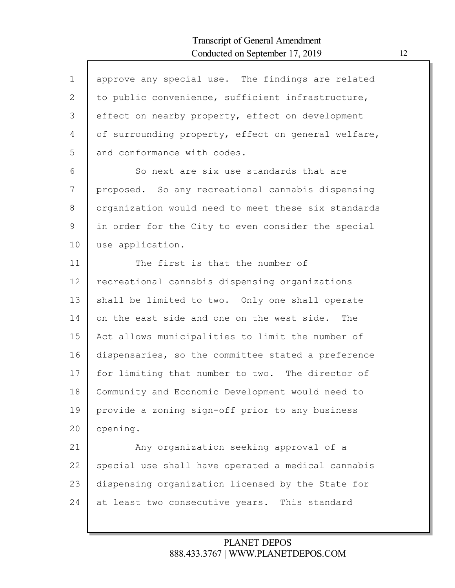| $\mathbf{1}$  | approve any special use. The findings are related   |
|---------------|-----------------------------------------------------|
| 2             | to public convenience, sufficient infrastructure,   |
| 3             | effect on nearby property, effect on development    |
| 4             | of surrounding property, effect on general welfare, |
| 5             | and conformance with codes.                         |
| 6             | So next are six use standards that are              |
| 7             | proposed. So any recreational cannabis dispensing   |
| 8             | organization would need to meet these six standards |
| $\mathcal{G}$ | in order for the City to even consider the special  |
| 10            | use application.                                    |
| 11            | The first is that the number of                     |
| 12            | recreational cannabis dispensing organizations      |
| 13            | shall be limited to two. Only one shall operate     |
| 14            | on the east side and one on the west side. The      |
| 15            | Act allows municipalities to limit the number of    |
| 16            | dispensaries, so the committee stated a preference  |
| 17            | for limiting that number to two. The director of    |
| 18            | Community and Economic Development would need to    |
| 19            | provide a zoning sign-off prior to any business     |
| 20            | opening.                                            |
| 21            | Any organization seeking approval of a              |
| 22            | special use shall have operated a medical cannabis  |
| 23            | dispensing organization licensed by the State for   |
| 24            | at least two consecutive years. This standard       |
|               |                                                     |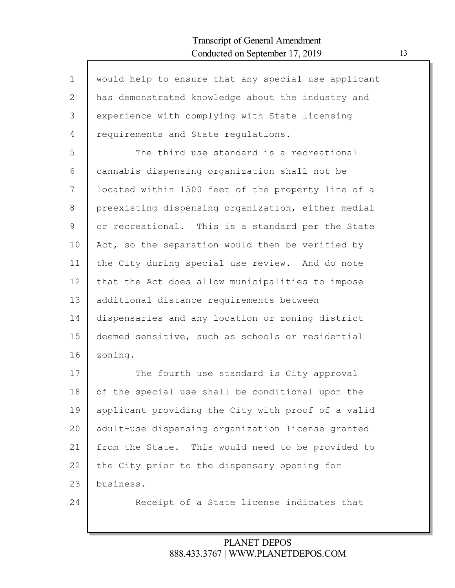| $\mathbf{1}$ | would help to ensure that any special use applicant |
|--------------|-----------------------------------------------------|
| $\mathbf{2}$ | has demonstrated knowledge about the industry and   |
| 3            | experience with complying with State licensing      |
| 4            | requirements and State regulations.                 |
| 5            | The third use standard is a recreational            |
| 6            | cannabis dispensing organization shall not be       |
| 7            | located within 1500 feet of the property line of a  |
| 8            | preexisting dispensing organization, either medial  |
| 9            | or recreational. This is a standard per the State   |
| 10           | Act, so the separation would then be verified by    |
| 11           | the City during special use review. And do note     |
| 12           | that the Act does allow municipalities to impose    |
| 13           | additional distance requirements between            |
| 14           | dispensaries and any location or zoning district    |
| 15           | deemed sensitive, such as schools or residential    |
| 16           | zoning.                                             |
| 17           | The fourth use standard is City approval            |
| 18           | of the special use shall be conditional upon the    |
| 19           | applicant providing the City with proof of a valid  |
| 20           | adult-use dispensing organization license granted   |
| 21           | from the State. This would need to be provided to   |
| 22           | the City prior to the dispensary opening for        |
| 23           | business.                                           |
| 24           | Receipt of a State license indicates that           |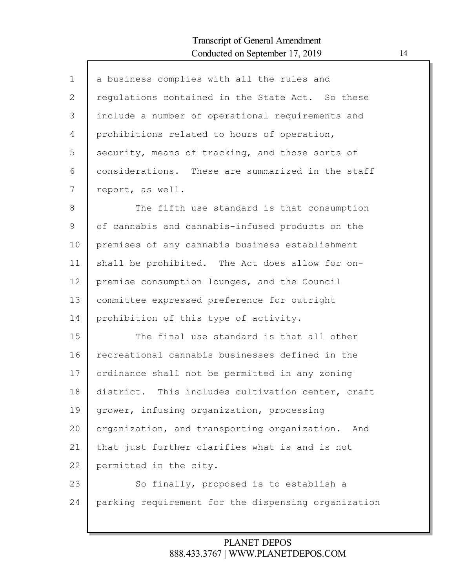Г

| $\mathbf 1$  | a business complies with all the rules and          |
|--------------|-----------------------------------------------------|
| $\mathbf{2}$ | regulations contained in the State Act. So these    |
| 3            | include a number of operational requirements and    |
| 4            | prohibitions related to hours of operation,         |
| 5            | security, means of tracking, and those sorts of     |
| 6            | considerations. These are summarized in the staff   |
| 7            | report, as well.                                    |
| $8\,$        | The fifth use standard is that consumption          |
| $\mathsf 9$  | of cannabis and cannabis-infused products on the    |
| 10           | premises of any cannabis business establishment     |
| 11           | shall be prohibited. The Act does allow for on-     |
| 12           | premise consumption lounges, and the Council        |
| 13           | committee expressed preference for outright         |
| 14           | prohibition of this type of activity.               |
| 15           | The final use standard is that all other            |
| 16           | recreational cannabis businesses defined in the     |
| 17           | ordinance shall not be permitted in any zoning      |
| 18           | district. This includes cultivation center, craft   |
| 19           | grower, infusing organization, processing           |
| 20           | organization, and transporting organization.<br>And |
| 21           | that just further clarifies what is and is not      |
| 22           | permitted in the city.                              |
| 23           | So finally, proposed is to establish a              |
| 24           | parking requirement for the dispensing organization |
|              |                                                     |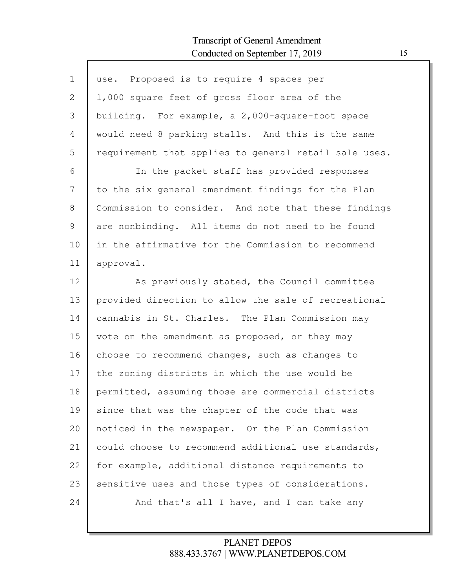| $\mathbf{1}$ | use. Proposed is to require 4 spaces per              |
|--------------|-------------------------------------------------------|
| 2            | 1,000 square feet of gross floor area of the          |
| 3            | building. For example, a 2,000-square-foot space      |
| 4            | would need 8 parking stalls. And this is the same     |
| 5            | requirement that applies to general retail sale uses. |
| 6            | In the packet staff has provided responses            |
| 7            | to the six general amendment findings for the Plan    |
| 8            | Commission to consider. And note that these findings  |
| 9            | are nonbinding. All items do not need to be found     |
| 10           | in the affirmative for the Commission to recommend    |
| 11           | approval.                                             |
| 12           | As previously stated, the Council committee           |
| 13           | provided direction to allow the sale of recreational  |
| 14           | cannabis in St. Charles. The Plan Commission may      |
| 15           | vote on the amendment as proposed, or they may        |
| 16           | choose to recommend changes, such as changes to       |
| 17           | the zoning districts in which the use would be        |
| 18           | permitted, assuming those are commercial districts    |
| 19           | since that was the chapter of the code that was       |
| 20           | noticed in the newspaper. Or the Plan Commission      |
| 21           | could choose to recommend additional use standards,   |
| 22           | for example, additional distance requirements to      |
| 23           | sensitive uses and those types of considerations.     |
| 24           | And that's all I have, and I can take any             |
|              |                                                       |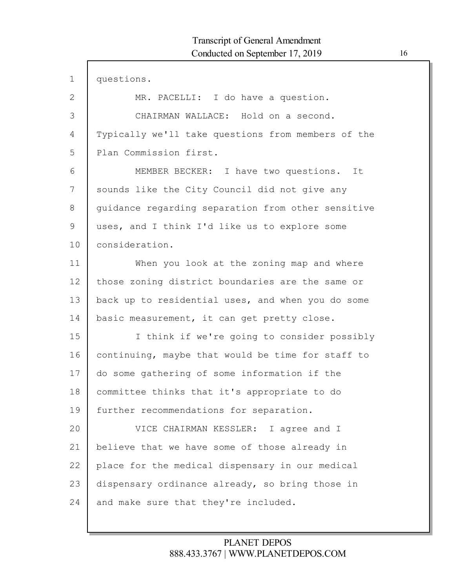1 2 3 4 5 6 7 8 9 10 11 12 13 14 15 16 17 18 19 20 21 22 23 24 questions. MR. PACELLI: I do have a question. CHAIRMAN WALLACE: Hold on a second. Typically we'll take questions from members of the Plan Commission first. MEMBER BECKER: I have two questions. It sounds like the City Council did not give any guidance regarding separation from other sensitive uses, and I think I'd like us to explore some consideration. When you look at the zoning map and where those zoning district boundaries are the same or back up to residential uses, and when you do some basic measurement, it can get pretty close. I think if we're going to consider possibly continuing, maybe that would be time for staff to do some gathering of some information if the committee thinks that it's appropriate to do further recommendations for separation. VICE CHAIRMAN KESSLER: I agree and I believe that we have some of those already in place for the medical dispensary in our medical dispensary ordinance already, so bring those in and make sure that they're included.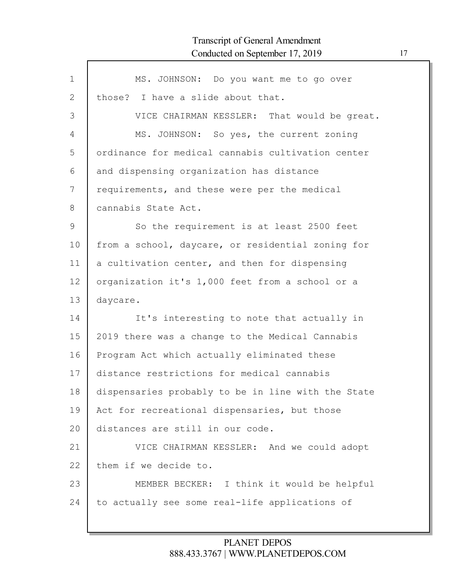Г

| $\mathbf 1$ | MS. JOHNSON: Do you want me to go over             |
|-------------|----------------------------------------------------|
| 2           | those? I have a slide about that.                  |
| 3           | VICE CHAIRMAN KESSLER: That would be great.        |
| 4           | MS. JOHNSON: So yes, the current zoning            |
| 5           | ordinance for medical cannabis cultivation center  |
| 6           | and dispensing organization has distance           |
| 7           | requirements, and these were per the medical       |
| 8           | cannabis State Act.                                |
| 9           | So the requirement is at least 2500 feet           |
| 10          | from a school, daycare, or residential zoning for  |
| 11          | a cultivation center, and then for dispensing      |
| 12          | organization it's 1,000 feet from a school or a    |
| 13          | daycare.                                           |
| 14          | It's interesting to note that actually in          |
| 15          | 2019 there was a change to the Medical Cannabis    |
| 16          | Program Act which actually eliminated these        |
| 17          | distance restrictions for medical cannabis         |
| 18          | dispensaries probably to be in line with the State |
| 19          | Act for recreational dispensaries, but those       |
| 20          | distances are still in our code.                   |
| 21          | VICE CHAIRMAN KESSLER: And we could adopt          |
| 22          | them if we decide to.                              |
| 23          | MEMBER BECKER: I think it would be helpful         |
| 24          | to actually see some real-life applications of     |
|             |                                                    |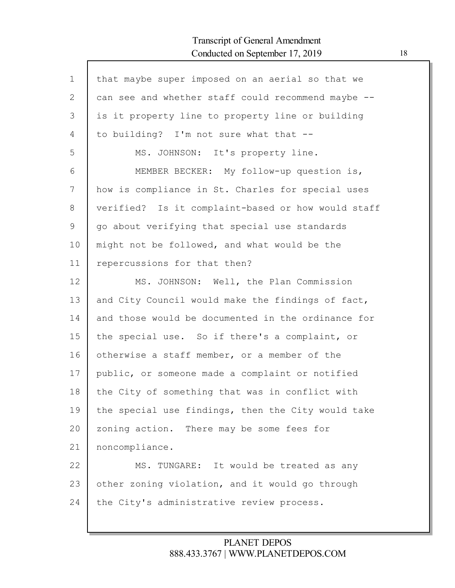Г

| $\mathbf{1}$ | that maybe super imposed on an aerial so that we   |
|--------------|----------------------------------------------------|
| $\mathbf{2}$ | can see and whether staff could recommend maybe -- |
| 3            | is it property line to property line or building   |
| 4            | to building? I'm not sure what that --             |
| 5            | MS. JOHNSON: It's property line.                   |
| 6            | MEMBER BECKER: My follow-up question is,           |
| 7            | how is compliance in St. Charles for special uses  |
| 8            | verified? Is it complaint-based or how would staff |
| 9            | go about verifying that special use standards      |
| 10           | might not be followed, and what would be the       |
| 11           | repercussions for that then?                       |
| 12           | MS. JOHNSON: Well, the Plan Commission             |
| 13           | and City Council would make the findings of fact,  |
| 14           | and those would be documented in the ordinance for |
| 15           | the special use. So if there's a complaint, or     |
| 16           | otherwise a staff member, or a member of the       |
| 17           | public, or someone made a complaint or notified    |
| 18           | the City of something that was in conflict with    |
| 19           | the special use findings, then the City would take |
| 20           | zoning action. There may be some fees for          |
| 21           | noncompliance.                                     |
| 22           | MS. TUNGARE: It would be treated as any            |
| 23           | other zoning violation, and it would go through    |
| 24           | the City's administrative review process.          |
|              |                                                    |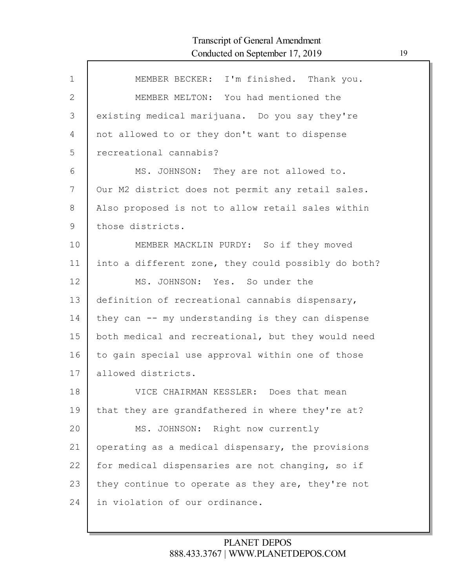| $\mathbf{1}$  | MEMBER BECKER: I'm finished. Thank you.             |
|---------------|-----------------------------------------------------|
| 2             | MEMBER MELTON: You had mentioned the                |
| 3             | existing medical marijuana. Do you say they're      |
| 4             | not allowed to or they don't want to dispense       |
| 5             | recreational cannabis?                              |
| 6             | MS. JOHNSON: They are not allowed to.               |
| 7             | Our M2 district does not permit any retail sales.   |
| $8\,$         | Also proposed is not to allow retail sales within   |
| $\mathcal{G}$ | those districts.                                    |
| 10            | MEMBER MACKLIN PURDY: So if they moved              |
| 11            | into a different zone, they could possibly do both? |
| 12            | MS. JOHNSON: Yes. So under the                      |
| 13            | definition of recreational cannabis dispensary,     |
| 14            | they can -- my understanding is they can dispense   |
| 15            | both medical and recreational, but they would need  |
| 16            | to gain special use approval within one of those    |
| 17            | allowed districts.                                  |
| 18            | VICE CHAIRMAN KESSLER: Does that mean               |
| 19            | that they are grandfathered in where they're at?    |
| 20            | MS. JOHNSON: Right now currently                    |
| 21            | operating as a medical dispensary, the provisions   |
| 22            | for medical dispensaries are not changing, so if    |
| 23            | they continue to operate as they are, they're not   |
| 24            | in violation of our ordinance.                      |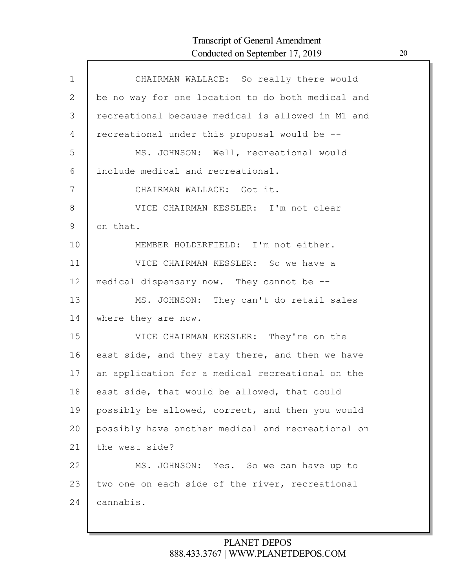| $\mathbf{1}$ | CHAIRMAN WALLACE: So really there would           |
|--------------|---------------------------------------------------|
| $\mathbf{2}$ | be no way for one location to do both medical and |
| 3            | recreational because medical is allowed in M1 and |
| 4            | recreational under this proposal would be --      |
| 5            | MS. JOHNSON: Well, recreational would             |
| 6            | include medical and recreational.                 |
| 7            | CHAIRMAN WALLACE: Got it.                         |
| 8            | VICE CHAIRMAN KESSLER: I'm not clear              |
| 9            | on that.                                          |
| 10           | MEMBER HOLDERFIELD: I'm not either.               |
| 11           | VICE CHAIRMAN KESSLER: So we have a               |
| 12           | medical dispensary now. They cannot be --         |
| 13           | MS. JOHNSON: They can't do retail sales           |
| 14           | where they are now.                               |
| 15           | VICE CHAIRMAN KESSLER: They're on the             |
| 16           | east side, and they stay there, and then we have  |
| 17           | an application for a medical recreational on the  |
| 18           | east side, that would be allowed, that could      |
| 19           | possibly be allowed, correct, and then you would  |
| 20           | possibly have another medical and recreational on |
| 21           | the west side?                                    |
| 22           | MS. JOHNSON: Yes. So we can have up to            |
| 23           | two one on each side of the river, recreational   |
| 24           | cannabis.                                         |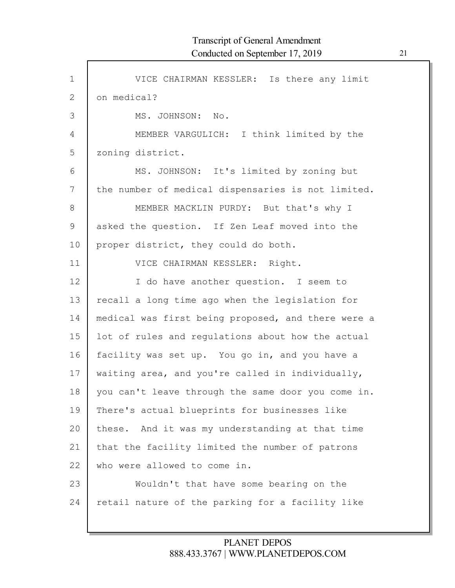| $\mathbf{1}$  | VICE CHAIRMAN KESSLER: Is there any limit          |
|---------------|----------------------------------------------------|
| 2             | on medical?                                        |
| 3             | MS. JOHNSON: No.                                   |
| 4             | MEMBER VARGULICH: I think limited by the           |
| 5             | zoning district.                                   |
| 6             | MS. JOHNSON: It's limited by zoning but            |
| 7             | the number of medical dispensaries is not limited. |
| $8\,$         | MEMBER MACKLIN PURDY: But that's why I             |
| $\mathcal{G}$ | asked the question. If Zen Leaf moved into the     |
| 10            | proper district, they could do both.               |
| 11            | VICE CHAIRMAN KESSLER: Right.                      |
| 12            | I do have another question. I seem to              |
| 13            | recall a long time ago when the legislation for    |
| 14            | medical was first being proposed, and there were a |
| 15            | lot of rules and regulations about how the actual  |
| 16            | facility was set up. You go in, and you have a     |
| 17            | waiting area, and you're called in individually,   |
| 18            | you can't leave through the same door you come in. |
| 19            | There's actual blueprints for businesses like      |
| 20            | these. And it was my understanding at that time    |
| 21            | that the facility limited the number of patrons    |
| 22            | who were allowed to come in.                       |
| 23            | Wouldn't that have some bearing on the             |
| 24            | retail nature of the parking for a facility like   |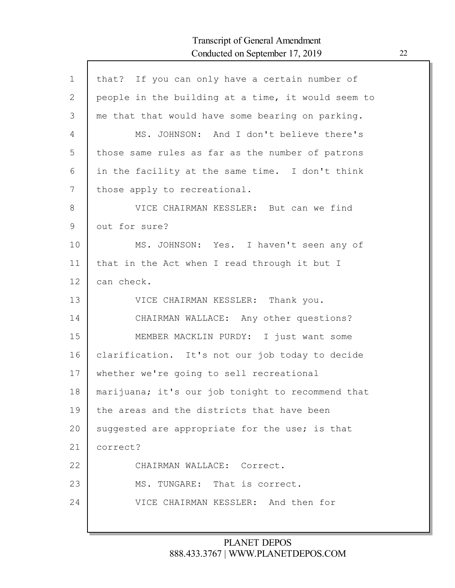| $\mathbf{1}$ | that? If you can only have a certain number of     |
|--------------|----------------------------------------------------|
| 2            | people in the building at a time, it would seem to |
| 3            | me that that would have some bearing on parking.   |
| 4            | MS. JOHNSON: And I don't believe there's           |
| 5            | those same rules as far as the number of patrons   |
| 6            | in the facility at the same time. I don't think    |
| 7            | those apply to recreational.                       |
| 8            | VICE CHAIRMAN KESSLER: But can we find             |
| 9            | out for sure?                                      |
| 10           | MS. JOHNSON: Yes. I haven't seen any of            |
| 11           | that in the Act when I read through it but I       |
| 12           | can check.                                         |
| 13           | VICE CHAIRMAN KESSLER: Thank you.                  |
| 14           | CHAIRMAN WALLACE: Any other questions?             |
| 15           | MEMBER MACKLIN PURDY: I just want some             |
| 16           | clarification. It's not our job today to decide    |
| 17           | whether we're going to sell recreational           |
| 18           | marijuana; it's our job tonight to recommend that  |
| 19           | the areas and the districts that have been         |
| 20           | suggested are appropriate for the use; is that     |
| 21           | correct?                                           |
| 22           | CHAIRMAN WALLACE: Correct.                         |
| 23           | MS. TUNGARE: That is correct.                      |
| 24           | VICE CHAIRMAN KESSLER: And then for                |
|              |                                                    |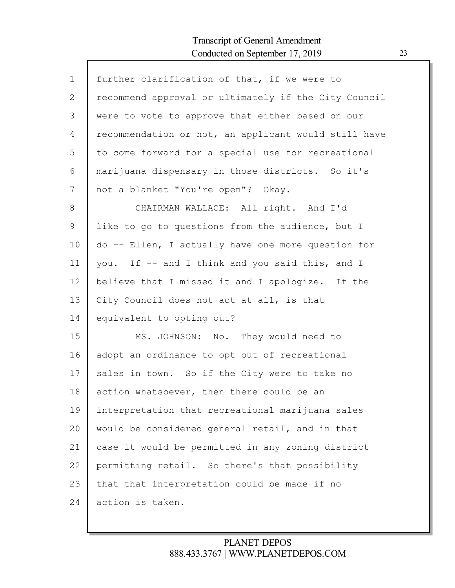| $\mathbf 1$ | further clarification of that, if we were to         |
|-------------|------------------------------------------------------|
| 2           | recommend approval or ultimately if the City Council |
| 3           | were to vote to approve that either based on our     |
| 4           | recommendation or not, an applicant would still have |
| 5           | to come forward for a special use for recreational   |
| 6           | marijuana dispensary in those districts. So it's     |
| 7           | not a blanket "You're open"? Okay.                   |
| 8           | CHAIRMAN WALLACE: All right. And I'd                 |
| 9           | like to go to questions from the audience, but I     |
| 10          | do -- Ellen, I actually have one more question for   |
| 11          | you. If -- and I think and you said this, and I      |
| 12          | believe that I missed it and I apologize. If the     |
| 13          | City Council does not act at all, is that            |
| 14          | equivalent to opting out?                            |
| 15          | MS. JOHNSON: No. They would need to                  |
| 16          | adopt an ordinance to opt out of recreational        |
| 17          | sales in town. So if the City were to take no        |
| 18          | action whatsoever, then there could be an            |
| 19          | interpretation that recreational marijuana sales     |
| 20          | would be considered general retail, and in that      |
| 21          | case it would be permitted in any zoning district    |
| 22          | permitting retail. So there's that possibility       |
| 23          | that that interpretation could be made if no         |
| 24          | action is taken.                                     |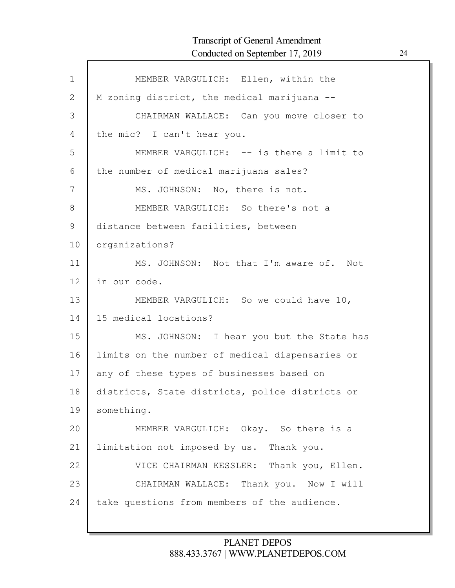Г

| $\mathbf 1$ | MEMBER VARGULICH: Ellen, within the             |
|-------------|-------------------------------------------------|
| 2           | M zoning district, the medical marijuana --     |
| 3           | CHAIRMAN WALLACE: Can you move closer to        |
| 4           | the mic? I can't hear you.                      |
| 5           | MEMBER VARGULICH: -- is there a limit to        |
| 6           | the number of medical marijuana sales?          |
| 7           | MS. JOHNSON: No, there is not.                  |
| 8           | MEMBER VARGULICH: So there's not a              |
| $\mathsf 9$ | distance between facilities, between            |
| 10          | organizations?                                  |
| 11          | MS. JOHNSON: Not that I'm aware of. Not         |
| 12          | in our code.                                    |
| 13          | MEMBER VARGULICH: So we could have 10,          |
| 14          | 15 medical locations?                           |
| 15          | MS. JOHNSON: I hear you but the State has       |
| 16          | limits on the number of medical dispensaries or |
| 17          | any of these types of businesses based on       |
| 18          | districts, State districts, police districts or |
| 19          | something.                                      |
| 20          | MEMBER VARGULICH: Okay. So there is a           |
| 21          | limitation not imposed by us. Thank you.        |
| 22          | VICE CHAIRMAN KESSLER: Thank you, Ellen.        |
| 23          | CHAIRMAN WALLACE: Thank you. Now I will         |
| 24          | take questions from members of the audience.    |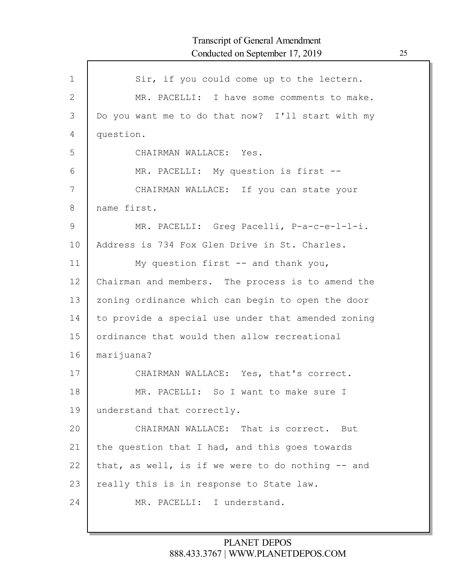| $\mathbf{1}$  | Sir, if you could come up to the lectern.          |
|---------------|----------------------------------------------------|
| 2             | MR. PACELLI: I have some comments to make.         |
| 3             | Do you want me to do that now? I'll start with my  |
| 4             | question.                                          |
| 5             | CHAIRMAN WALLACE: Yes.                             |
| 6             | MR. PACELLI: My question is first --               |
| 7             | CHAIRMAN WALLACE: If you can state your            |
| 8             | name first.                                        |
| $\mathcal{G}$ | MR. PACELLI: Greg Pacelli, P-a-c-e-l-l-i.          |
| 10            | Address is 734 Fox Glen Drive in St. Charles.      |
| 11            | My question first -- and thank you,                |
| 12            | Chairman and members. The process is to amend the  |
| 13            | zoning ordinance which can begin to open the door  |
| 14            | to provide a special use under that amended zoning |
| 15            | ordinance that would then allow recreational       |
| 16            | marijuana?                                         |
| 17            | CHAIRMAN WALLACE: Yes, that's correct.             |
| 18            | MR. PACELLI: So I want to make sure I              |
| 19            | understand that correctly.                         |
| 20            | CHAIRMAN WALLACE: That is correct. But             |
| 21            | the question that I had, and this goes towards     |
| 22            | that, as well, is if we were to do nothing -- and  |
| 23            | really this is in response to State law.           |
| 24            | MR. PACELLI: I understand.                         |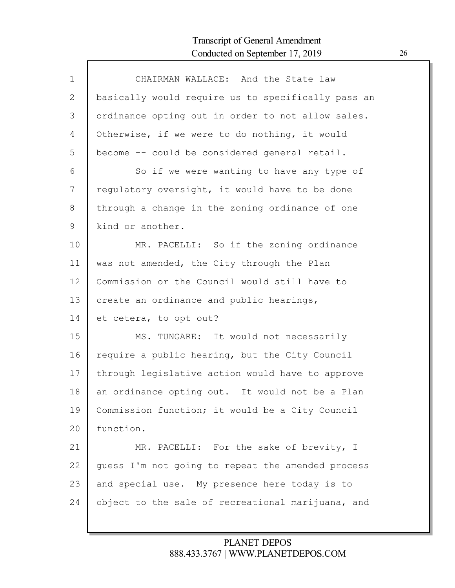| $\mathbf 1$  | CHAIRMAN WALLACE: And the State law                |
|--------------|----------------------------------------------------|
| $\mathbf{2}$ | basically would require us to specifically pass an |
| 3            | ordinance opting out in order to not allow sales.  |
| 4            | Otherwise, if we were to do nothing, it would      |
| 5            | become -- could be considered general retail.      |
| 6            | So if we were wanting to have any type of          |
| 7            | regulatory oversight, it would have to be done     |
| 8            | through a change in the zoning ordinance of one    |
| 9            | kind or another.                                   |
| 10           | MR. PACELLI: So if the zoning ordinance            |
| 11           | was not amended, the City through the Plan         |
| 12           | Commission or the Council would still have to      |
| 13           | create an ordinance and public hearings,           |
| 14           | et cetera, to opt out?                             |
| 15           | MS. TUNGARE: It would not necessarily              |
| 16           | require a public hearing, but the City Council     |
| 17           | through legislative action would have to approve   |
| 18           | an ordinance opting out. It would not be a Plan    |
| 19           | Commission function; it would be a City Council    |
| 20           | function.                                          |
| 21           | MR. PACELLI: For the sake of brevity, I            |
| 22           | guess I'm not going to repeat the amended process  |
| 23           | and special use. My presence here today is to      |
| 24           | object to the sale of recreational marijuana, and  |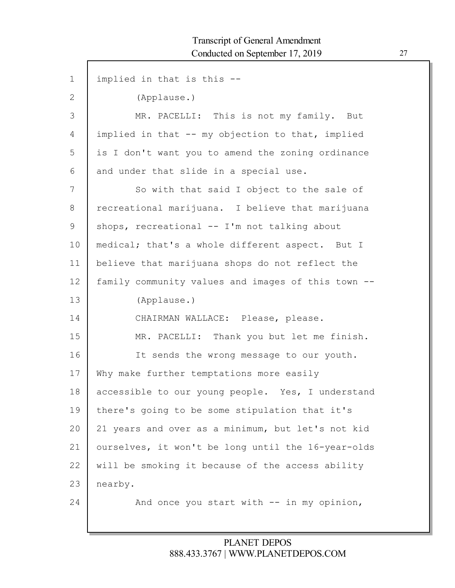| $\mathbf 1$  | implied in that is this --                         |
|--------------|----------------------------------------------------|
| $\mathbf{2}$ | (Applause.)                                        |
| 3            | MR. PACELLI: This is not my family. But            |
| 4            | implied in that -- my objection to that, implied   |
| 5            | is I don't want you to amend the zoning ordinance  |
| 6            | and under that slide in a special use.             |
| 7            | So with that said I object to the sale of          |
| 8            | recreational marijuana. I believe that marijuana   |
| 9            | shops, recreational -- I'm not talking about       |
| 10           | medical; that's a whole different aspect. But I    |
| 11           | believe that marijuana shops do not reflect the    |
| 12           | family community values and images of this town -- |
| 13           | (Applause.)                                        |
| 14           | CHAIRMAN WALLACE: Please, please.                  |
| 15           | MR. PACELLI: Thank you but let me finish.          |
| 16           | It sends the wrong message to our youth.           |
| 17           | Why make further temptations more easily           |
| 18           | accessible to our young people. Yes, I understand  |
| 19           | there's going to be some stipulation that it's     |
| 20           | 21 years and over as a minimum, but let's not kid  |
| 21           | ourselves, it won't be long until the 16-year-olds |
| 22           | will be smoking it because of the access ability   |
| 23           | nearby.                                            |
| 24           | And once you start with -- in my opinion,          |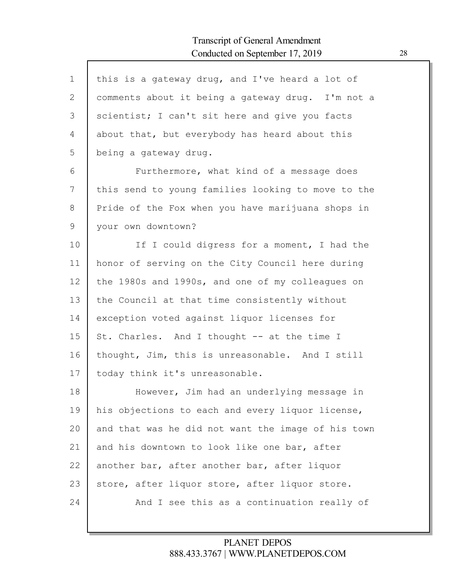| $\mathbf 1$ | this is a gateway drug, and I've heard a lot of    |
|-------------|----------------------------------------------------|
| 2           | comments about it being a gateway drug. I'm not a  |
| 3           | scientist; I can't sit here and give you facts     |
| 4           | about that, but everybody has heard about this     |
| 5           | being a gateway drug.                              |
| 6           | Furthermore, what kind of a message does           |
| 7           | this send to young families looking to move to the |
| 8           | Pride of the Fox when you have marijuana shops in  |
| 9           | your own downtown?                                 |
| 10          | If I could digress for a moment, I had the         |
| 11          | honor of serving on the City Council here during   |
| 12          | the 1980s and 1990s, and one of my colleagues on   |
| 13          | the Council at that time consistently without      |
| 14          | exception voted against liquor licenses for        |
| 15          | St. Charles. And I thought -- at the time I        |
| 16          | thought, Jim, this is unreasonable. And I still    |
| 17          | today think it's unreasonable.                     |
| 18          | However, Jim had an underlying message in          |
| 19          | his objections to each and every liquor license,   |
| 20          | and that was he did not want the image of his town |
| 21          | and his downtown to look like one bar, after       |
| 22          | another bar, after another bar, after liquor       |
| 23          | store, after liquor store, after liquor store.     |
| 24          | And I see this as a continuation really of         |
|             |                                                    |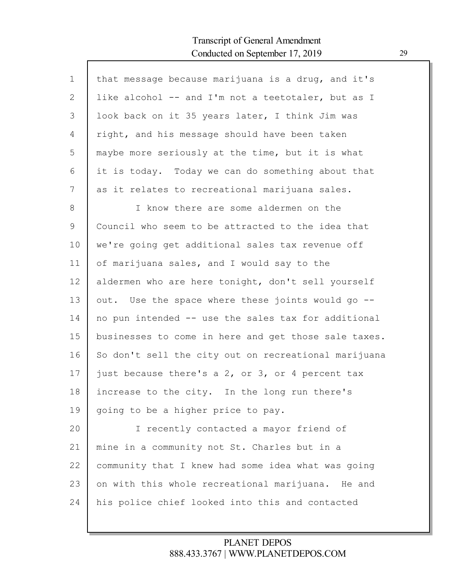Г

| that message because marijuana is a drug, and it's   |
|------------------------------------------------------|
| like alcohol -- and I'm not a teetotaler, but as I   |
| look back on it 35 years later, I think Jim was      |
| right, and his message should have been taken        |
| maybe more seriously at the time, but it is what     |
| it is today. Today we can do something about that    |
| as it relates to recreational marijuana sales.       |
| I know there are some aldermen on the                |
| Council who seem to be attracted to the idea that    |
| we're going get additional sales tax revenue off     |
| of marijuana sales, and I would say to the           |
| aldermen who are here tonight, don't sell yourself   |
| out. Use the space where these joints would go --    |
| no pun intended -- use the sales tax for additional  |
| businesses to come in here and get those sale taxes. |
| So don't sell the city out on recreational marijuana |
| just because there's a 2, or 3, or 4 percent tax     |
| increase to the city. In the long run there's        |
| going to be a higher price to pay.                   |
| I recently contacted a mayor friend of               |
| mine in a community not St. Charles but in a         |
| community that I knew had some idea what was going   |
| on with this whole recreational marijuana. He and    |
| his police chief looked into this and contacted      |
|                                                      |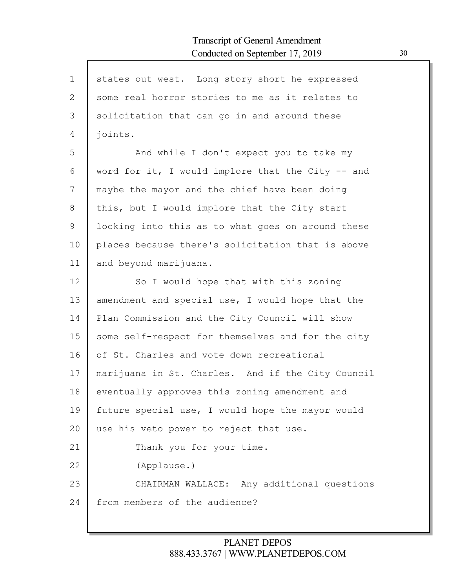| $\mathbf 1$    | states out west. Long story short he expressed    |
|----------------|---------------------------------------------------|
| $\overline{2}$ | some real horror stories to me as it relates to   |
| 3              | solicitation that can go in and around these      |
| $\overline{4}$ | joints.                                           |
| 5              | And while I don't expect you to take my           |
| 6              | word for it, I would implore that the City -- and |
| 7              | maybe the mayor and the chief have been doing     |
| 8              | this, but I would implore that the City start     |
| 9              | looking into this as to what goes on around these |
| 10             | places because there's solicitation that is above |
| 11             | and beyond marijuana.                             |
| 12             | So I would hope that with this zoning             |
| 13             | amendment and special use, I would hope that the  |
| 14             | Plan Commission and the City Council will show    |
| 15             | some self-respect for themselves and for the city |
| 16             | of St. Charles and vote down recreational         |
| 17             | marijuana in St. Charles. And if the City Council |
| 18             | eventually approves this zoning amendment and     |
| 19             | future special use, I would hope the mayor would  |
| 20             | use his veto power to reject that use.            |
| 21             | Thank you for your time.                          |
| 22             | (Applause.)                                       |
| 23             | CHAIRMAN WALLACE: Any additional questions        |
| 24             | from members of the audience?                     |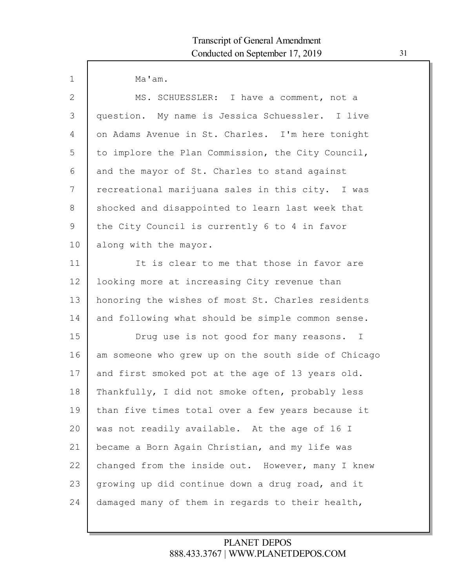$\mathsf{l}$ 

| $\mathbf 1$  | Ma'am.                                              |
|--------------|-----------------------------------------------------|
| $\mathbf{2}$ | MS. SCHUESSLER: I have a comment, not a             |
| 3            | question. My name is Jessica Schuessler. I live     |
| 4            | on Adams Avenue in St. Charles. I'm here tonight    |
| 5            | to implore the Plan Commission, the City Council,   |
| 6            | and the mayor of St. Charles to stand against       |
| 7            | recreational marijuana sales in this city. I was    |
| 8            | shocked and disappointed to learn last week that    |
| 9            | the City Council is currently 6 to 4 in favor       |
| 10           | along with the mayor.                               |
| 11           | It is clear to me that those in favor are           |
| 12           | looking more at increasing City revenue than        |
| 13           | honoring the wishes of most St. Charles residents   |
| 14           | and following what should be simple common sense.   |
| 15           | Drug use is not good for many reasons. I            |
| 16           | am someone who grew up on the south side of Chicago |
| 17           | and first smoked pot at the age of 13 years old.    |
| 18           | Thankfully, I did not smoke often, probably less    |
| 19           | than five times total over a few years because it   |
| 20           | was not readily available. At the age of 16 I       |
| 21           | became a Born Again Christian, and my life was      |
| 22           | changed from the inside out. However, many I knew   |
| 23           | growing up did continue down a drug road, and it    |
| 24           | damaged many of them in regards to their health,    |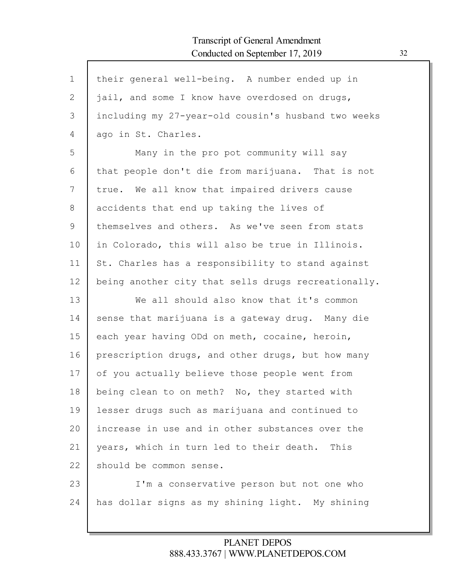| $\mathbf 1$ | their general well-being. A number ended up in      |
|-------------|-----------------------------------------------------|
| 2           | jail, and some I know have overdosed on drugs,      |
| 3           | including my 27-year-old cousin's husband two weeks |
| 4           | ago in St. Charles.                                 |
| 5           | Many in the pro pot community will say              |
| 6           | that people don't die from marijuana. That is not   |
| 7           | true. We all know that impaired drivers cause       |
| 8           | accidents that end up taking the lives of           |
| 9           | themselves and others. As we've seen from stats     |
| 10          | in Colorado, this will also be true in Illinois.    |
| 11          | St. Charles has a responsibility to stand against   |
| 12          | being another city that sells drugs recreationally. |
| 13          | We all should also know that it's common            |
| 14          | sense that marijuana is a gateway drug. Many die    |
| 15          | each year having ODd on meth, cocaine, heroin,      |
| 16          | prescription drugs, and other drugs, but how many   |
| 17          | of you actually believe those people went from      |
| 18          | being clean to on meth? No, they started with       |
| 19          | lesser drugs such as marijuana and continued to     |
| 20          | increase in use and in other substances over the    |
| 21          | years, which in turn led to their death.<br>This    |
| 22          | should be common sense.                             |
| 23          | I'm a conservative person but not one who           |
| 24          | has dollar signs as my shining light. My shining    |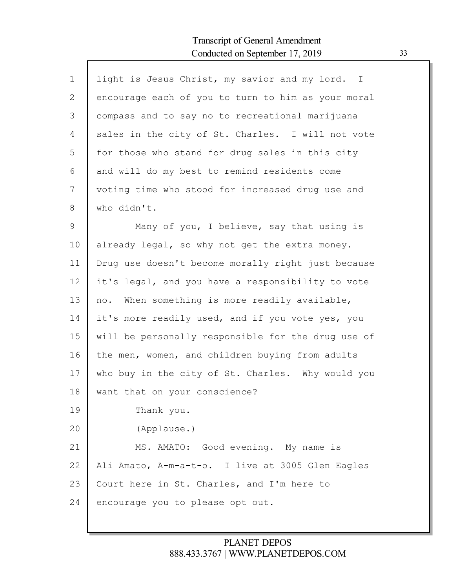| $\mathbf 1$  | light is Jesus Christ, my savior and my lord. I    |
|--------------|----------------------------------------------------|
| $\mathbf{2}$ | encourage each of you to turn to him as your moral |
| 3            | compass and to say no to recreational marijuana    |
| 4            | sales in the city of St. Charles. I will not vote  |
| 5            | for those who stand for drug sales in this city    |
| 6            | and will do my best to remind residents come       |
| 7            | voting time who stood for increased drug use and   |
| 8            | who didn't.                                        |
| $\mathsf 9$  | Many of you, I believe, say that using is          |
| 10           | already legal, so why not get the extra money.     |
| 11           | Drug use doesn't become morally right just because |
| 12           | it's legal, and you have a responsibility to vote  |
| 13           | no. When something is more readily available,      |
| 14           | it's more readily used, and if you vote yes, you   |
| 15           | will be personally responsible for the drug use of |
| 16           | the men, women, and children buying from adults    |
| 17           |                                                    |
|              | who buy in the city of St. Charles. Why would you  |
| 18           | want that on your conscience?                      |
| 19           | Thank you.                                         |
| 20           | (Applause.)                                        |
| 21           | MS. AMATO: Good evening. My name is                |
| 22           | Ali Amato, A-m-a-t-o. I live at 3005 Glen Eagles   |
| 23           | Court here in St. Charles, and I'm here to         |
| 24           | encourage you to please opt out.                   |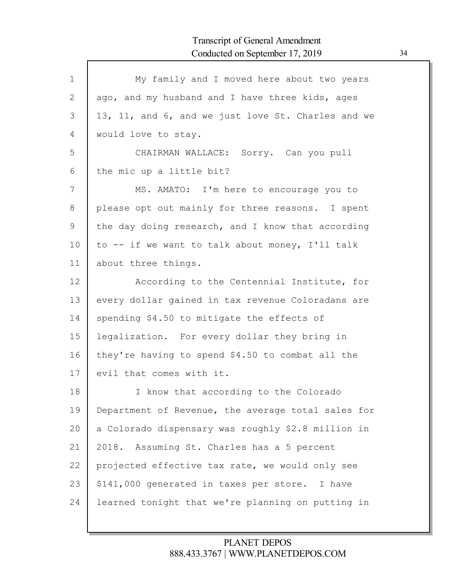| $\mathbf{1}$ | My family and I moved here about two years         |
|--------------|----------------------------------------------------|
| 2            | ago, and my husband and I have three kids, ages    |
| 3            | 13, 11, and 6, and we just love St. Charles and we |
| 4            | would love to stay.                                |
| 5            | CHAIRMAN WALLACE: Sorry. Can you pull              |
| 6            | the mic up a little bit?                           |
| 7            | MS. AMATO: I'm here to encourage you to            |
| 8            | please opt out mainly for three reasons. I spent   |
| 9            | the day doing research, and I know that according  |
| 10           | to -- if we want to talk about money, I'll talk    |
| 11           | about three things.                                |
| 12           | According to the Centennial Institute, for         |
| 13           | every dollar gained in tax revenue Coloradans are  |
| 14           | spending \$4.50 to mitigate the effects of         |
| 15           | legalization. For every dollar they bring in       |
| 16           | they're having to spend \$4.50 to combat all the   |
| 17           | evil that comes with it.                           |
| 18           | I know that according to the Colorado              |
| 19           | Department of Revenue, the average total sales for |
| 20           | a Colorado dispensary was roughly \$2.8 million in |
| 21           | 2018. Assuming St. Charles has a 5 percent         |
| 22           | projected effective tax rate, we would only see    |
| 23           | \$141,000 generated in taxes per store. I have     |
| 24           | learned tonight that we're planning on putting in  |
|              |                                                    |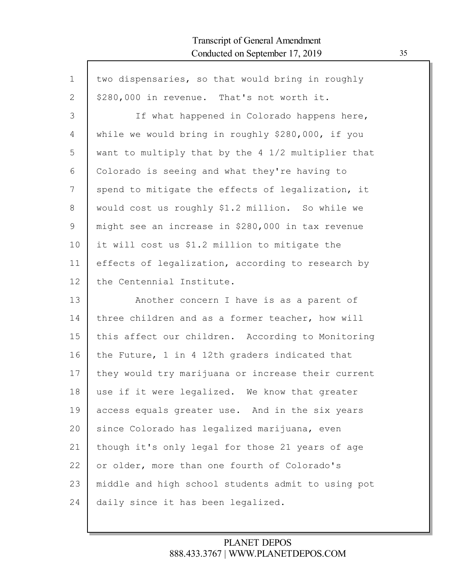Г

| $\mathbf 1$   | two dispensaries, so that would bring in roughly   |
|---------------|----------------------------------------------------|
| 2             | \$280,000 in revenue. That's not worth it.         |
| 3             | If what happened in Colorado happens here,         |
| 4             | while we would bring in roughly \$280,000, if you  |
| 5             | want to multiply that by the 4 1/2 multiplier that |
| 6             | Colorado is seeing and what they're having to      |
| 7             | spend to mitigate the effects of legalization, it  |
| $8\,$         | would cost us roughly \$1.2 million. So while we   |
| $\mathcal{G}$ | might see an increase in \$280,000 in tax revenue  |
| 10            | it will cost us \$1.2 million to mitigate the      |
| 11            | effects of legalization, according to research by  |
| 12            | the Centennial Institute.                          |
| 13            | Another concern I have is as a parent of           |
| 14            | three children and as a former teacher, how will   |
| 15            | this affect our children. According to Monitoring  |
| 16            | the Future, 1 in 4 12th graders indicated that     |
| 17            | they would try marijuana or increase their current |
| 18            | use if it were legalized. We know that greater     |
| 19            | access equals greater use. And in the six years    |
| 20            | since Colorado has legalized marijuana, even       |
| 21            | though it's only legal for those 21 years of age   |
| 22            | or older, more than one fourth of Colorado's       |
| 23            | middle and high school students admit to using pot |
| 24            | daily since it has been legalized.                 |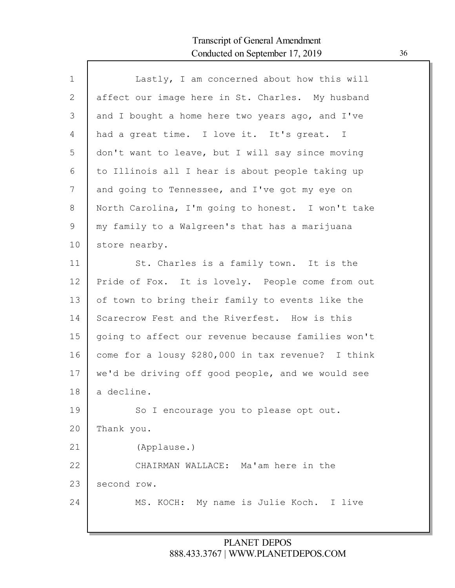Г

| $\mathbf{1}$ | Lastly, I am concerned about how this will         |
|--------------|----------------------------------------------------|
| 2            | affect our image here in St. Charles. My husband   |
| 3            | and I bought a home here two years ago, and I've   |
| 4            | had a great time. I love it. It's great. I         |
| 5            | don't want to leave, but I will say since moving   |
| 6            | to Illinois all I hear is about people taking up   |
| 7            | and going to Tennessee, and I've got my eye on     |
| $8\,$        | North Carolina, I'm going to honest. I won't take  |
| 9            | my family to a Walgreen's that has a marijuana     |
| 10           | store nearby.                                      |
| 11           | St. Charles is a family town. It is the            |
| 12           | Pride of Fox. It is lovely. People come from out   |
| 13           | of town to bring their family to events like the   |
| 14           | Scarecrow Fest and the Riverfest. How is this      |
| 15           | going to affect our revenue because families won't |
| 16           | come for a lousy \$280,000 in tax revenue? I think |
| 17           | we'd be driving off good people, and we would see  |
| 18           | a decline.                                         |
| 19           | So I encourage you to please opt out.              |
| 20           | Thank you.                                         |
| 21           | (Applause.)                                        |
| 22           | CHAIRMAN WALLACE: Ma'am here in the                |
| 23           | second row.                                        |
| 24           | MS. KOCH: My name is Julie Koch. I live            |
|              |                                                    |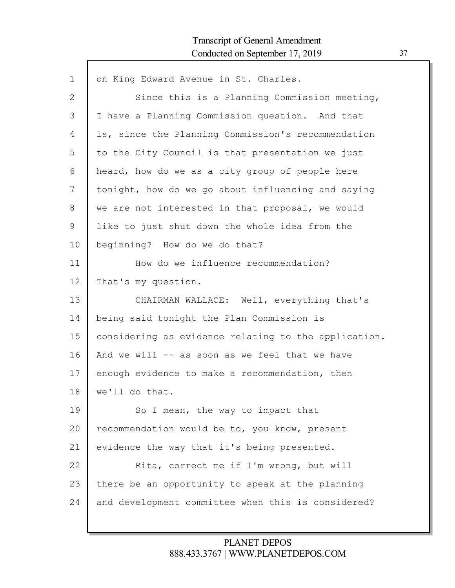| $\mathbf 1$ | on King Edward Avenue in St. Charles.                |
|-------------|------------------------------------------------------|
| 2           | Since this is a Planning Commission meeting,         |
| 3           | I have a Planning Commission question. And that      |
| 4           | is, since the Planning Commission's recommendation   |
| 5           | to the City Council is that presentation we just     |
| 6           | heard, how do we as a city group of people here      |
| 7           | tonight, how do we go about influencing and saying   |
| 8           | we are not interested in that proposal, we would     |
| 9           | like to just shut down the whole idea from the       |
| 10          | beginning? How do we do that?                        |
| 11          | How do we influence recommendation?                  |
| 12          | That's my question.                                  |
| 13          | CHAIRMAN WALLACE: Well, everything that's            |
| 14          | being said tonight the Plan Commission is            |
| 15          | considering as evidence relating to the application. |
| 16          | And we will -- as soon as we feel that we have       |
| 17          | enough evidence to make a recommendation, then       |
| 18          | we'll do that.                                       |
| 19          | So I mean, the way to impact that                    |
| 20          | recommendation would be to, you know, present        |
| 21          | evidence the way that it's being presented.          |
| 22          | Rita, correct me if I'm wrong, but will              |
| 23          | there be an opportunity to speak at the planning     |
| 24          | and development committee when this is considered?   |
|             |                                                      |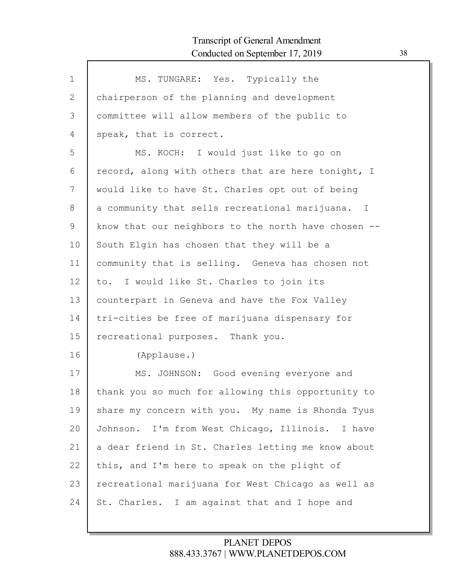$\Gamma$ 

| $\mathbf 1$  | MS. TUNGARE: Yes. Typically the                     |
|--------------|-----------------------------------------------------|
| $\mathbf{2}$ | chairperson of the planning and development         |
| 3            | committee will allow members of the public to       |
| 4            | speak, that is correct.                             |
| 5            | MS. KOCH: I would just like to go on                |
| 6            | record, along with others that are here tonight, I  |
| 7            | would like to have St. Charles opt out of being     |
| 8            | a community that sells recreational marijuana. I    |
| 9            | know that our neighbors to the north have chosen -- |
| 10           | South Elgin has chosen that they will be a          |
| 11           | community that is selling. Geneva has chosen not    |
| 12           | to. I would like St. Charles to join its            |
| 13           | counterpart in Geneva and have the Fox Valley       |
| 14           | tri-cities be free of marijuana dispensary for      |
| 15           | recreational purposes. Thank you.                   |
| 16           | (Applause.)                                         |
| 17           | MS. JOHNSON: Good evening everyone and              |
| 18           | thank you so much for allowing this opportunity to  |
| 19           | share my concern with you. My name is Rhonda Tyus   |
| 20           | Johnson. I'm from West Chicago, Illinois. I have    |
| 21           | a dear friend in St. Charles letting me know about  |
| 22           | this, and I'm here to speak on the plight of        |
| 23           | recreational marijuana for West Chicago as well as  |
| 24           | St. Charles. I am against that and I hope and       |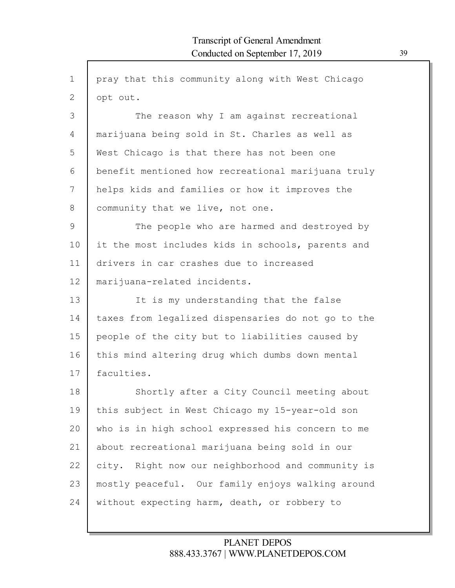| $\mathbf 1$    | pray that this community along with West Chicago   |
|----------------|----------------------------------------------------|
| $\overline{2}$ | opt out.                                           |
| 3              | The reason why I am against recreational           |
| 4              | marijuana being sold in St. Charles as well as     |
| 5              | West Chicago is that there has not been one        |
| 6              | benefit mentioned how recreational marijuana truly |
| 7              | helps kids and families or how it improves the     |
| 8              | community that we live, not one.                   |
| 9              | The people who are harmed and destroyed by         |
| 10             | it the most includes kids in schools, parents and  |
| 11             | drivers in car crashes due to increased            |
| 12             | marijuana-related incidents.                       |
| 13             | It is my understanding that the false              |
| 14             | taxes from legalized dispensaries do not go to the |
| 15             | people of the city but to liabilities caused by    |
| 16             | this mind altering drug which dumbs down mental    |
| 17             | faculties.                                         |
| 18             | Shortly after a City Council meeting about         |
| 19             | this subject in West Chicago my 15-year-old son    |
| 20             | who is in high school expressed his concern to me  |
| 21             | about recreational marijuana being sold in our     |
| 22             | city. Right now our neighborhood and community is  |
| 23             | mostly peaceful. Our family enjoys walking around  |
| 24             | without expecting harm, death, or robbery to       |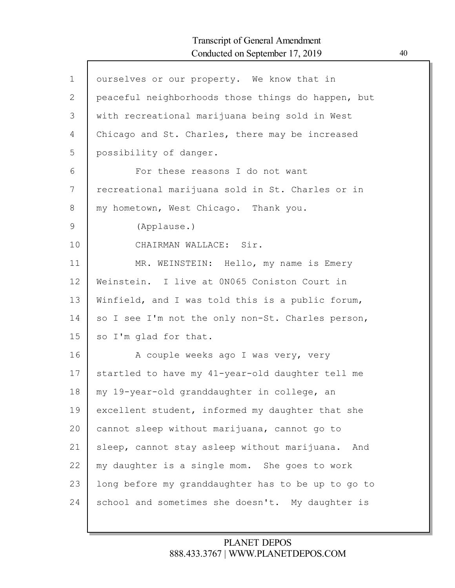Г

| $\mathbf 1$ | ourselves or our property. We know that in         |
|-------------|----------------------------------------------------|
| 2           | peaceful neighborhoods those things do happen, but |
| 3           | with recreational marijuana being sold in West     |
| 4           | Chicago and St. Charles, there may be increased    |
| 5           | possibility of danger.                             |
| 6           | For these reasons I do not want                    |
| 7           | recreational marijuana sold in St. Charles or in   |
| 8           | my hometown, West Chicago. Thank you.              |
| 9           | (Applause.)                                        |
| 10          | CHAIRMAN WALLACE: Sir.                             |
| 11          | MR. WEINSTEIN: Hello, my name is Emery             |
| 12          | Weinstein. I live at 0N065 Coniston Court in       |
| 13          | Winfield, and I was told this is a public forum,   |
| 14          | so I see I'm not the only non-St. Charles person,  |
| 15          | so I'm glad for that.                              |
| 16          | A couple weeks ago I was very, very                |
| 17          | startled to have my 41-year-old daughter tell me   |
| 18          | my 19-year-old granddaughter in college, an        |
| 19          | excellent student, informed my daughter that she   |
| 20          | cannot sleep without marijuana, cannot go to       |
| 21          | sleep, cannot stay asleep without marijuana. And   |
| 22          | my daughter is a single mom. She goes to work      |
| 23          | long before my granddaughter has to be up to go to |
| 24          | school and sometimes she doesn't. My daughter is   |
|             |                                                    |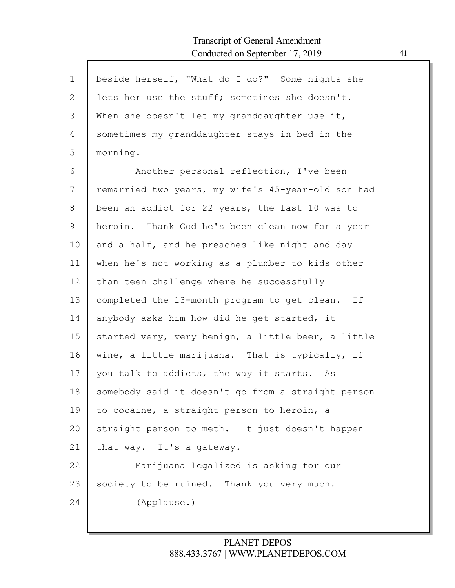$\mathsf{l}$ 

| $\mathbf 1$    | beside herself, "What do I do?" Some nights she    |
|----------------|----------------------------------------------------|
| $\overline{2}$ | lets her use the stuff; sometimes she doesn't.     |
| 3              | When she doesn't let my granddaughter use it,      |
| 4              | sometimes my granddaughter stays in bed in the     |
| 5              | morning.                                           |
| 6              | Another personal reflection, I've been             |
| 7              | remarried two years, my wife's 45-year-old son had |
| 8              | been an addict for 22 years, the last 10 was to    |
| 9              | heroin. Thank God he's been clean now for a year   |
| 10             | and a half, and he preaches like night and day     |
| 11             | when he's not working as a plumber to kids other   |
| 12             | than teen challenge where he successfully          |
| 13             | completed the 13-month program to get clean.<br>If |
| 14             | anybody asks him how did he get started, it        |
| 15             | started very, very benign, a little beer, a little |
| 16             | wine, a little marijuana. That is typically, if    |
| 17             | you talk to addicts, the way it starts. As         |
| 18             | somebody said it doesn't go from a straight person |
| 19             | to cocaine, a straight person to heroin, a         |
| 20             | straight person to meth. It just doesn't happen    |
| 21             | that way. It's a gateway.                          |
| 22             | Marijuana legalized is asking for our              |
|                |                                                    |
| 23             | society to be ruined. Thank you very much.         |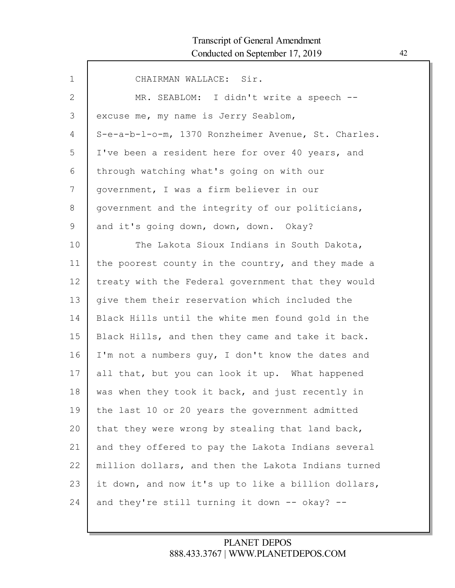| $\mathbf{1}$ | CHAIRMAN WALLACE: Sir.                              |
|--------------|-----------------------------------------------------|
| 2            | MR. SEABLOM: I didn't write a speech --             |
| 3            | excuse me, my name is Jerry Seablom,                |
| 4            | S-e-a-b-l-o-m, 1370 Ronzheimer Avenue, St. Charles. |
| 5            | I've been a resident here for over 40 years, and    |
| 6            | through watching what's going on with our           |
| 7            | government, I was a firm believer in our            |
| 8            | government and the integrity of our politicians,    |
| 9            | and it's going down, down, down. Okay?              |
| 10           | The Lakota Sioux Indians in South Dakota,           |
| 11           | the poorest county in the country, and they made a  |
| 12           | treaty with the Federal government that they would  |
| 13           | give them their reservation which included the      |
| 14           | Black Hills until the white men found gold in the   |
| 15           | Black Hills, and then they came and take it back.   |
| 16           | I'm not a numbers guy, I don't know the dates and   |
| 17           | all that, but you can look it up. What happened     |
| 18           | was when they took it back, and just recently in    |
| 19           | the last 10 or 20 years the government admitted     |
| 20           | that they were wrong by stealing that land back,    |
| 21           | and they offered to pay the Lakota Indians several  |
| 22           | million dollars, and then the Lakota Indians turned |
| 23           | it down, and now it's up to like a billion dollars, |
| 24           | and they're still turning it down -- okay? --       |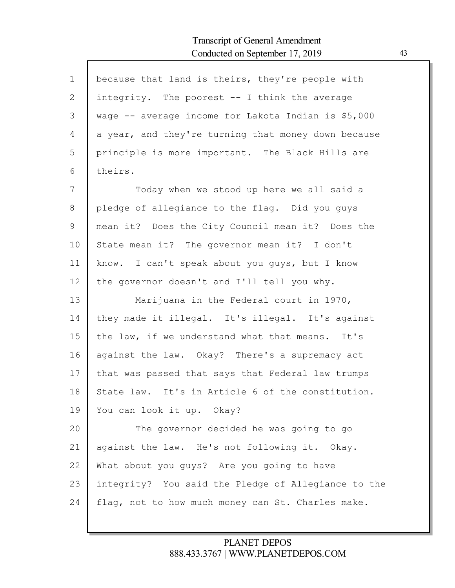Г

| $\mathbf{1}$ | because that land is theirs, they're people with    |
|--------------|-----------------------------------------------------|
| 2            | integrity. The poorest $-$ I think the average      |
| 3            | wage -- average income for Lakota Indian is \$5,000 |
| 4            | a year, and they're turning that money down because |
| 5            | principle is more important. The Black Hills are    |
| 6            | theirs.                                             |
| 7            | Today when we stood up here we all said a           |
| 8            | pledge of allegiance to the flag. Did you guys      |
| 9            | mean it? Does the City Council mean it? Does the    |
| 10           | State mean it? The governor mean it? I don't        |
| 11           | know. I can't speak about you guys, but I know      |
| 12           | the governor doesn't and I'll tell you why.         |
| 13           | Marijuana in the Federal court in 1970,             |
| 14           | they made it illegal. It's illegal. It's against    |
| 15           | the law, if we understand what that means. It's     |
| 16           | against the law. Okay? There's a supremacy act      |
| 17           | that was passed that says that Federal law trumps   |
| 18           | State law. It's in Article 6 of the constitution.   |
| 19           | You can look it up. Okay?                           |
| 20           | The governor decided he was going to go             |
| 21           | against the law. He's not following it. Okay.       |
| 22           | What about you guys? Are you going to have          |
| 23           | integrity? You said the Pledge of Allegiance to the |
| 24           | flag, not to how much money can St. Charles make.   |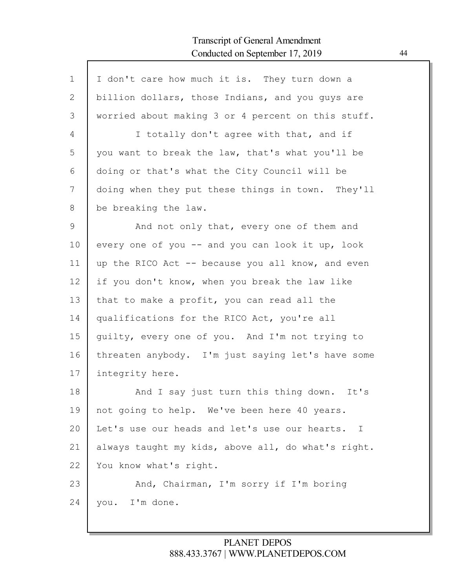| $\mathbf{1}$ | I don't care how much it is. They turn down a      |
|--------------|----------------------------------------------------|
| 2            | billion dollars, those Indians, and you guys are   |
| 3            | worried about making 3 or 4 percent on this stuff. |
| 4            | I totally don't agree with that, and if            |
| 5            | you want to break the law, that's what you'll be   |
| 6            | doing or that's what the City Council will be      |
| 7            | doing when they put these things in town. They'll  |
| 8            | be breaking the law.                               |
| 9            | And not only that, every one of them and           |
| 10           | every one of you -- and you can look it up, look   |
| 11           | up the RICO Act -- because you all know, and even  |
| 12           | if you don't know, when you break the law like     |
| 13           | that to make a profit, you can read all the        |
| 14           | qualifications for the RICO Act, you're all        |
| 15           | guilty, every one of you. And I'm not trying to    |
| 16           | threaten anybody. I'm just saying let's have some  |
| 17           | integrity here.                                    |
| 18           | And I say just turn this thing down.<br>It's       |
| 19           | not going to help. We've been here 40 years.       |
| 20           | Let's use our heads and let's use our hearts. I    |
| 21           | always taught my kids, above all, do what's right. |
| 22           | You know what's right.                             |
| 23           | And, Chairman, I'm sorry if I'm boring             |
| 24           | you. I'm done.                                     |
|              |                                                    |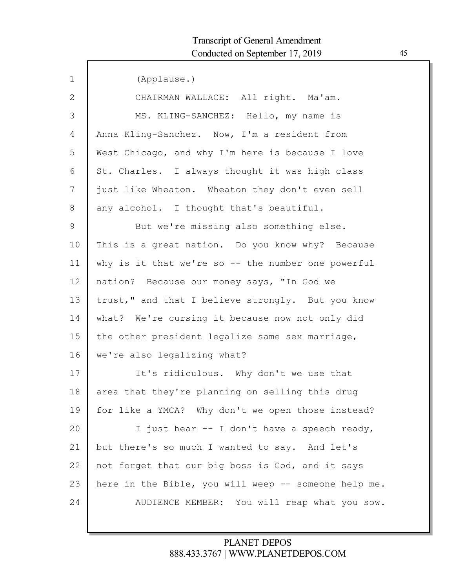| $\mathbf 1$ | (Applause.)                                          |
|-------------|------------------------------------------------------|
| 2           | CHAIRMAN WALLACE: All right. Ma'am.                  |
| 3           | MS. KLING-SANCHEZ: Hello, my name is                 |
| 4           | Anna Kling-Sanchez. Now, I'm a resident from         |
| 5           | West Chicago, and why I'm here is because I love     |
| 6           | St. Charles. I always thought it was high class      |
| 7           | just like Wheaton. Wheaton they don't even sell      |
| 8           | any alcohol. I thought that's beautiful.             |
| 9           | But we're missing also something else.               |
| 10          | This is a great nation. Do you know why? Because     |
| 11          | why is it that we're so -- the number one powerful   |
| 12          | nation? Because our money says, "In God we           |
| 13          | trust," and that I believe strongly. But you know    |
| 14          | what? We're cursing it because now not only did      |
| 15          | the other president legalize same sex marriage,      |
| 16          | we're also legalizing what?                          |
| 17          | It's ridiculous. Why don't we use that               |
| 18          | area that they're planning on selling this drug      |
| 19          | for like a YMCA? Why don't we open those instead?    |
| 20          | I just hear -- I don't have a speech ready,          |
| 21          | but there's so much I wanted to say. And let's       |
| 22          | not forget that our big boss is God, and it says     |
| 23          | here in the Bible, you will weep -- someone help me. |
| 24          | AUDIENCE MEMBER: You will reap what you sow.         |
|             |                                                      |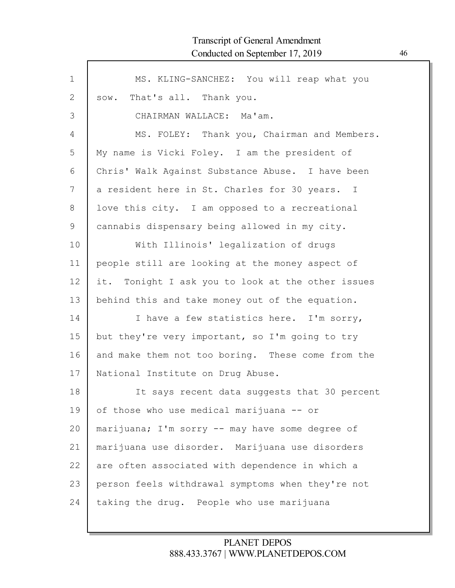| $\mathbf 1$ | MS. KLING-SANCHEZ: You will reap what you         |
|-------------|---------------------------------------------------|
| 2           | sow. That's all. Thank you.                       |
| 3           | CHAIRMAN WALLACE: Ma'am.                          |
| 4           | MS. FOLEY: Thank you, Chairman and Members.       |
| 5           | My name is Vicki Foley. I am the president of     |
| 6           | Chris' Walk Against Substance Abuse. I have been  |
| 7           | a resident here in St. Charles for 30 years. I    |
| 8           | love this city. I am opposed to a recreational    |
| 9           | cannabis dispensary being allowed in my city.     |
| 10          | With Illinois' legalization of drugs              |
| 11          | people still are looking at the money aspect of   |
| 12          | it. Tonight I ask you to look at the other issues |
| 13          | behind this and take money out of the equation.   |
| 14          | I have a few statistics here. I'm sorry,          |
| 15          | but they're very important, so I'm going to try   |
| 16          | and make them not too boring. These come from the |
| 17          | National Institute on Drug Abuse.                 |
| 18          | It says recent data suggests that 30 percent      |
| 19          | of those who use medical marijuana -- or          |
| 20          | marijuana; I'm sorry -- may have some degree of   |
| 21          | marijuana use disorder. Marijuana use disorders   |
| 22          | are often associated with dependence in which a   |
| 23          | person feels withdrawal symptoms when they're not |
| 24          | taking the drug. People who use marijuana         |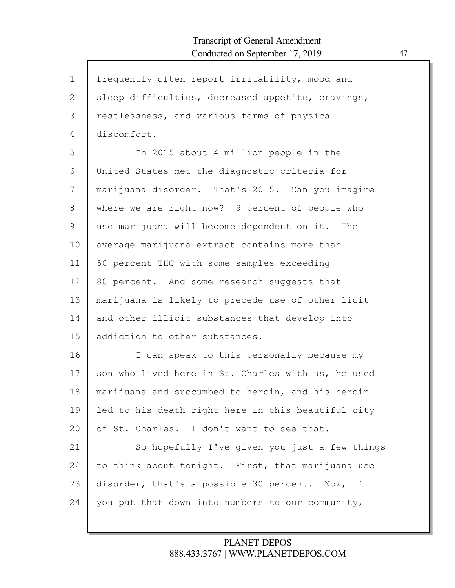Г

| $\mathbf 1$  | frequently often report irritability, mood and     |
|--------------|----------------------------------------------------|
| $\mathbf{2}$ | sleep difficulties, decreased appetite, cravings,  |
| 3            | restlessness, and various forms of physical        |
| 4            | discomfort.                                        |
| 5            | In 2015 about 4 million people in the              |
| 6            | United States met the diagnostic criteria for      |
| 7            | marijuana disorder. That's 2015. Can you imagine   |
| 8            | where we are right now? 9 percent of people who    |
| 9            | use marijuana will become dependent on it. The     |
| 10           | average marijuana extract contains more than       |
| 11           | 50 percent THC with some samples exceeding         |
| 12           | 80 percent. And some research suggests that        |
| 13           | marijuana is likely to precede use of other licit  |
| 14           | and other illicit substances that develop into     |
| 15           | addiction to other substances.                     |
| 16           | I can speak to this personally because my          |
| 17           | son who lived here in St. Charles with us, he used |
| 18           | marijuana and succumbed to heroin, and his heroin  |
| 19           | led to his death right here in this beautiful city |
| 20           | of St. Charles. I don't want to see that.          |
| 21           | So hopefully I've given you just a few things      |
| 22           | to think about tonight. First, that marijuana use  |
| 23           | disorder, that's a possible 30 percent. Now, if    |
| 24           | you put that down into numbers to our community,   |
|              |                                                    |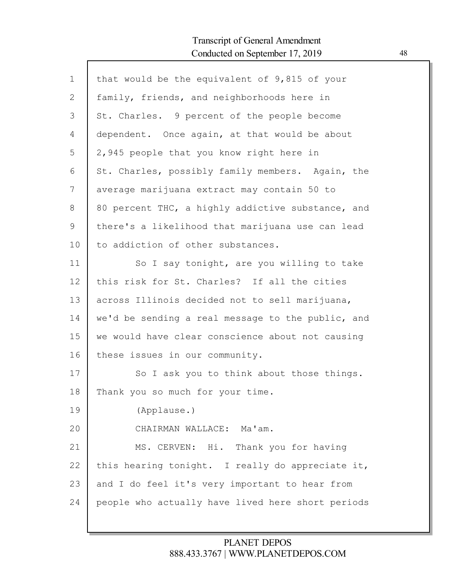Г

| $\mathbf 1$ | that would be the equivalent of 9,815 of your     |
|-------------|---------------------------------------------------|
| 2           | family, friends, and neighborhoods here in        |
| 3           | St. Charles. 9 percent of the people become       |
| 4           | dependent. Once again, at that would be about     |
| 5           | 2,945 people that you know right here in          |
| 6           | St. Charles, possibly family members. Again, the  |
| 7           | average marijuana extract may contain 50 to       |
| 8           | 80 percent THC, a highly addictive substance, and |
| 9           | there's a likelihood that marijuana use can lead  |
| 10          | to addiction of other substances.                 |
| 11          | So I say tonight, are you willing to take         |
| 12          | this risk for St. Charles? If all the cities      |
| 13          | across Illinois decided not to sell marijuana,    |
| 14          | we'd be sending a real message to the public, and |
| 15          | we would have clear conscience about not causing  |
| 16          | these issues in our community.                    |
| 17          | So I ask you to think about those things.         |
| 18          | Thank you so much for your time.                  |
| 19          | (Applause.)                                       |
| 20          | CHAIRMAN WALLACE: Ma'am.                          |
| 21          | MS. CERVEN: Hi.<br>Thank you for having           |
| 22          | this hearing tonight. I really do appreciate it,  |
| 23          | and I do feel it's very important to hear from    |
| 24          | people who actually have lived here short periods |
|             |                                                   |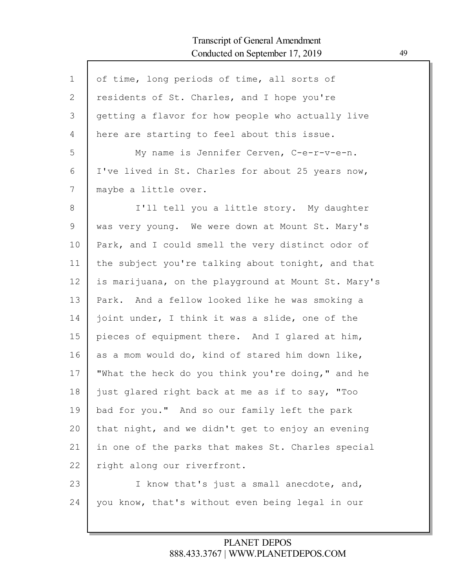Г

| $\mathbf 1$ | of time, long periods of time, all sorts of         |
|-------------|-----------------------------------------------------|
| 2           | residents of St. Charles, and I hope you're         |
| 3           | getting a flavor for how people who actually live   |
| 4           | here are starting to feel about this issue.         |
| 5           | My name is Jennifer Cerven, C-e-r-v-e-n.            |
| 6           | I've lived in St. Charles for about 25 years now,   |
| 7           | maybe a little over.                                |
| 8           | I'll tell you a little story. My daughter           |
| 9           | was very young. We were down at Mount St. Mary's    |
| 10          | Park, and I could smell the very distinct odor of   |
| 11          | the subject you're talking about tonight, and that  |
| 12          | is marijuana, on the playground at Mount St. Mary's |
| 13          | And a fellow looked like he was smoking a<br>Park.  |
| 14          | joint under, I think it was a slide, one of the     |
| 15          | pieces of equipment there. And I glared at him,     |
| 16          | as a mom would do, kind of stared him down like,    |
| 17          | "What the heck do you think you're doing," and he   |
| 18          | just glared right back at me as if to say, "Too     |
| 19          | bad for you." And so our family left the park       |
| 20          | that night, and we didn't get to enjoy an evening   |
| 21          | in one of the parks that makes St. Charles special  |
| 22          | right along our riverfront.                         |
| 23          | I know that's just a small anecdote, and,           |
| 24          | you know, that's without even being legal in our    |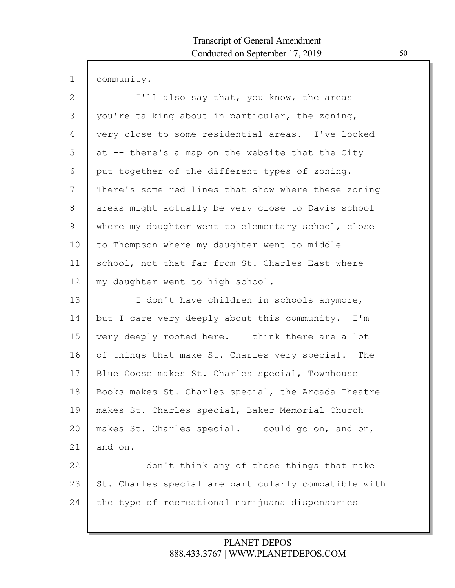| community.                                          |
|-----------------------------------------------------|
| I'll also say that, you know, the areas             |
| you're talking about in particular, the zoning,     |
| very close to some residential areas. I've looked   |
| at -- there's a map on the website that the City    |
| put together of the different types of zoning.      |
| There's some red lines that show where these zoning |
| areas might actually be very close to Davis school  |
| where my daughter went to elementary school, close  |
|                                                     |

1

2

3

4

5

6

7

8

9 10 11 12 ementary school, close to Thompson where my daughter went to middle school, not that far from St. Charles East where my daughter went to high school.

13 14 15 16 17 18 19 20 21 I don't have children in schools anymore, but I care very deeply about this community. I'm very deeply rooted here. I think there are a lot of things that make St. Charles very special. The Blue Goose makes St. Charles special, Townhouse Books makes St. Charles special, the Arcada Theatre makes St. Charles special, Baker Memorial Church makes St. Charles special. I could go on, and on, and on.

22 23 24 I don't think any of those things that make St. Charles special are particularly compatible with the type of recreational marijuana dispensaries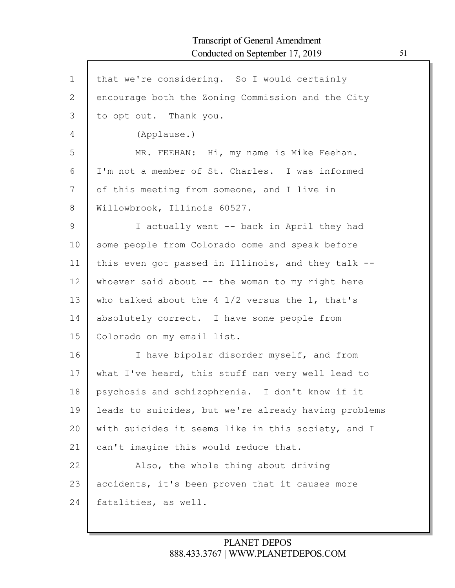| $\mathbf 1$ | that we're considering. So I would certainly         |
|-------------|------------------------------------------------------|
| 2           | encourage both the Zoning Commission and the City    |
| 3           | to opt out. Thank you.                               |
| 4           | (Applause.)                                          |
| 5           | MR. FEEHAN: Hi, my name is Mike Feehan.              |
| 6           | I'm not a member of St. Charles. I was informed      |
| 7           | of this meeting from someone, and I live in          |
| 8           | Willowbrook, Illinois 60527.                         |
| 9           | I actually went -- back in April they had            |
| 10          | some people from Colorado come and speak before      |
| 11          | this even got passed in Illinois, and they talk --   |
| 12          | whoever said about $-$ the woman to my right here    |
| 13          | who talked about the 4 1/2 versus the 1, that's      |
| 14          | absolutely correct. I have some people from          |
| 15          | Colorado on my email list.                           |
| 16          | I have bipolar disorder myself, and from             |
| 17          | what I've heard, this stuff can very well lead to    |
| 18          | psychosis and schizophrenia. I don't know if it      |
| 19          | leads to suicides, but we're already having problems |
| 20          | with suicides it seems like in this society, and I   |
| 21          | can't imagine this would reduce that.                |
| 22          | Also, the whole thing about driving                  |
| 23          | accidents, it's been proven that it causes more      |
| 24          | fatalities, as well.                                 |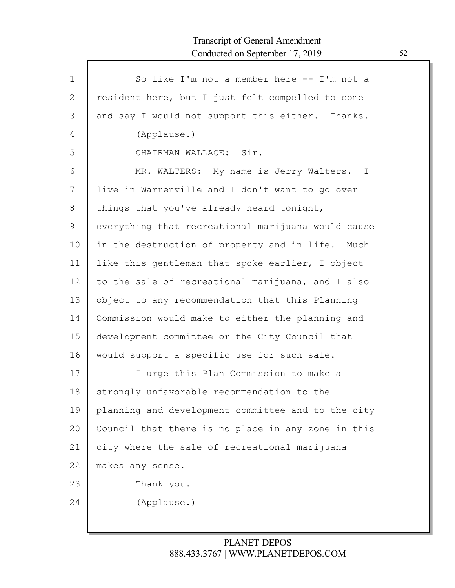| $\mathbf{1}$ | So like I'm not a member here -- I'm not a         |
|--------------|----------------------------------------------------|
| 2            | resident here, but I just felt compelled to come   |
| 3            | and say I would not support this either. Thanks.   |
| 4            | (Applause.)                                        |
| 5            | CHAIRMAN WALLACE: Sir.                             |
| 6            | MR. WALTERS: My name is Jerry Walters. I           |
| 7            | live in Warrenville and I don't want to go over    |
| 8            | things that you've already heard tonight,          |
| 9            | everything that recreational marijuana would cause |
| 10           | in the destruction of property and in life. Much   |
| 11           | like this gentleman that spoke earlier, I object   |
| 12           | to the sale of recreational marijuana, and I also  |
| 13           | object to any recommendation that this Planning    |
| 14           | Commission would make to either the planning and   |
| 15           | development committee or the City Council that     |
| 16           | would support a specific use for such sale.        |
| 17           | I urge this Plan Commission to make a              |
| 18           | strongly unfavorable recommendation to the         |
| 19           | planning and development committee and to the city |
| 20           | Council that there is no place in any zone in this |
| 21           | city where the sale of recreational marijuana      |
| 22           | makes any sense.                                   |
| 23           | Thank you.                                         |
| 24           | (Applause.)                                        |
|              |                                                    |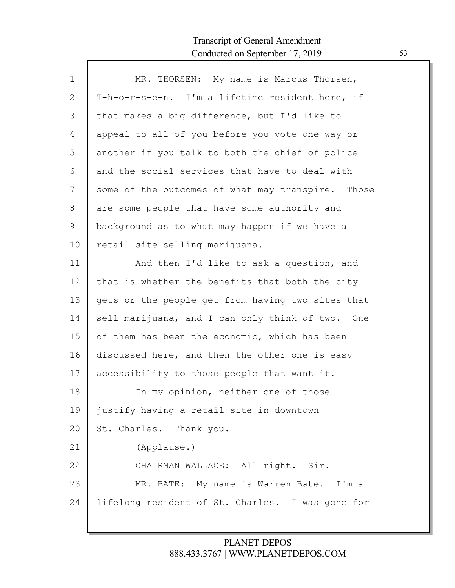Г

| $\mathbf 1$ | MR. THORSEN: My name is Marcus Thorsen,           |
|-------------|---------------------------------------------------|
| 2           | T-h-o-r-s-e-n. I'm a lifetime resident here, if   |
| 3           | that makes a big difference, but I'd like to      |
| 4           | appeal to all of you before you vote one way or   |
| 5           | another if you talk to both the chief of police   |
| 6           | and the social services that have to deal with    |
| 7           | some of the outcomes of what may transpire. Those |
| 8           | are some people that have some authority and      |
| 9           | background as to what may happen if we have a     |
| 10          | retail site selling marijuana.                    |
| 11          | And then I'd like to ask a question, and          |
| 12          | that is whether the benefits that both the city   |
| 13          | gets or the people get from having two sites that |
| 14          | sell marijuana, and I can only think of two. One  |
| 15          | of them has been the economic, which has been     |
| 16          | discussed here, and then the other one is easy    |
| 17          | accessibility to those people that want it.       |
| 18          | In my opinion, neither one of those               |
| 19          | justify having a retail site in downtown          |
| 20          | St. Charles. Thank you.                           |
| 21          | (Applause.)                                       |
| 22          | CHAIRMAN WALLACE: All right. Sir.                 |
| 23          | MR. BATE: My name is Warren Bate. I'm a           |
| 24          | lifelong resident of St. Charles. I was gone for  |
|             |                                                   |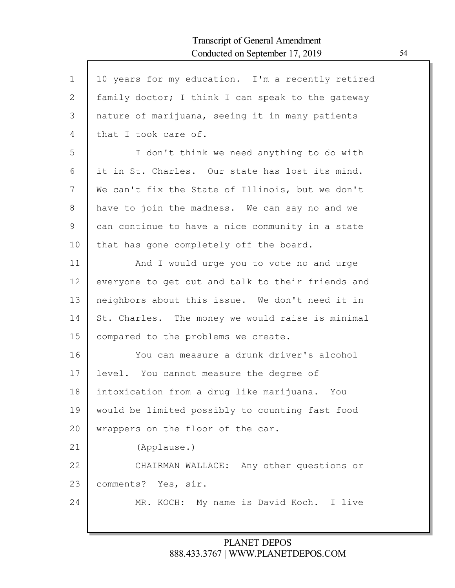Г

| $\mathbf 1$ | 10 years for my education. I'm a recently retired |
|-------------|---------------------------------------------------|
| 2           | family doctor; I think I can speak to the gateway |
| 3           | nature of marijuana, seeing it in many patients   |
| 4           | that I took care of.                              |
| 5           | I don't think we need anything to do with         |
| 6           | it in St. Charles. Our state has lost its mind.   |
| 7           | We can't fix the State of Illinois, but we don't  |
| $8\,$       | have to join the madness. We can say no and we    |
| 9           | can continue to have a nice community in a state  |
| 10          | that has gone completely off the board.           |
| 11          | And I would urge you to vote no and urge          |
| 12          | everyone to get out and talk to their friends and |
| 13          | neighbors about this issue. We don't need it in   |
| 14          | St. Charles. The money we would raise is minimal  |
| 15          | compared to the problems we create.               |
| 16          | You can measure a drunk driver's alcohol          |
| 17          | level. You cannot measure the degree of           |
| 18          | intoxication from a drug like marijuana. You      |
| 19          | would be limited possibly to counting fast food   |
| 20          | wrappers on the floor of the car.                 |
| 21          | (Applause.)                                       |
| 22          | CHAIRMAN WALLACE: Any other questions or          |
| 23          | comments? Yes, sir.                               |
| 24          | MR. KOCH: My name is David Koch. I live           |
|             |                                                   |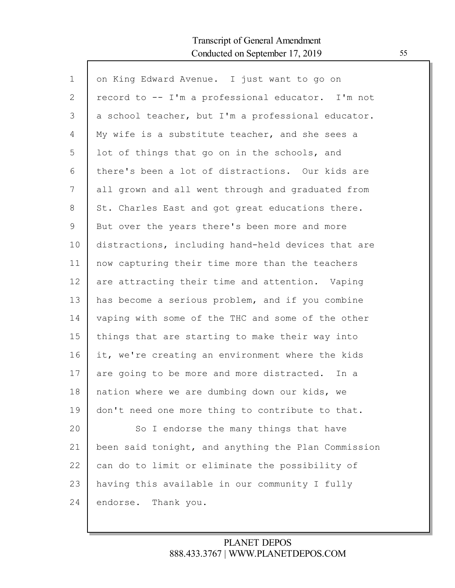| $\mathbf{1}$ | on King Edward Avenue. I just want to go on         |
|--------------|-----------------------------------------------------|
| 2            | record to -- I'm a professional educator. I'm not   |
| 3            | a school teacher, but I'm a professional educator.  |
| 4            | My wife is a substitute teacher, and she sees a     |
| 5            | lot of things that go on in the schools, and        |
| 6            | there's been a lot of distractions. Our kids are    |
| 7            | all grown and all went through and graduated from   |
| 8            | St. Charles East and got great educations there.    |
| 9            | But over the years there's been more and more       |
| 10           | distractions, including hand-held devices that are  |
| 11           | now capturing their time more than the teachers     |
| 12           | are attracting their time and attention. Vaping     |
| 13           | has become a serious problem, and if you combine    |
| 14           | vaping with some of the THC and some of the other   |
| 15           | things that are starting to make their way into     |
| 16           | it, we're creating an environment where the kids    |
| 17           | are going to be more and more distracted. In a      |
| 18           | nation where we are dumbing down our kids, we       |
| 19           | don't need one more thing to contribute to that.    |
| 20           | So I endorse the many things that have              |
| 21           | been said tonight, and anything the Plan Commission |
| 22           | can do to limit or eliminate the possibility of     |
| 23           | having this available in our community I fully      |
| 24           | endorse.<br>Thank you.                              |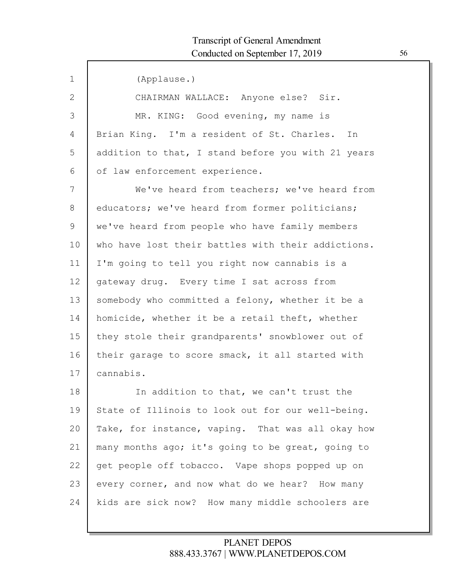Г

| $\mathbf{1}$ | (Applause.)                                        |
|--------------|----------------------------------------------------|
| 2            | CHAIRMAN WALLACE: Anyone else? Sir.                |
| 3            | MR. KING: Good evening, my name is                 |
| 4            | Brian King. I'm a resident of St. Charles. In      |
| 5            | addition to that, I stand before you with 21 years |
| 6            | of law enforcement experience.                     |
| 7            | We've heard from teachers; we've heard from        |
| 8            | educators; we've heard from former politicians;    |
| 9            | we've heard from people who have family members    |
| 10           | who have lost their battles with their addictions. |
| 11           | I'm going to tell you right now cannabis is a      |
| 12           | gateway drug. Every time I sat across from         |
| 13           | somebody who committed a felony, whether it be a   |
| 14           | homicide, whether it be a retail theft, whether    |
| 15           | they stole their grandparents' snowblower out of   |
| 16           | their garage to score smack, it all started with   |
| 17           | cannabis.                                          |
| 18           | In addition to that, we can't trust the            |
| 19           | State of Illinois to look out for our well-being.  |
| 20           | Take, for instance, vaping. That was all okay how  |
| 21           | many months ago; it's going to be great, going to  |
| 22           | get people off tobacco. Vape shops popped up on    |
| 23           | every corner, and now what do we hear? How many    |
| 24           | kids are sick now? How many middle schoolers are   |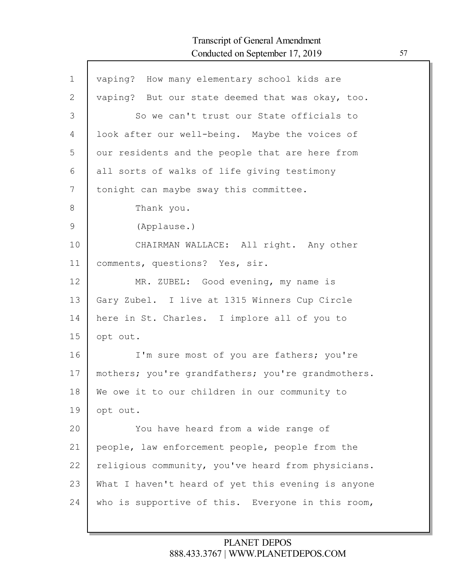| $\mathbf 1$   | vaping? How many elementary school kids are        |
|---------------|----------------------------------------------------|
| $\mathbf{2}$  | vaping? But our state deemed that was okay, too.   |
| 3             | So we can't trust our State officials to           |
| 4             | look after our well-being. Maybe the voices of     |
| 5             | our residents and the people that are here from    |
| 6             | all sorts of walks of life giving testimony        |
| 7             | tonight can maybe sway this committee.             |
| 8             | Thank you.                                         |
| $\mathcal{G}$ | (Applause.)                                        |
| 10            | CHAIRMAN WALLACE: All right. Any other             |
| 11            | comments, questions? Yes, sir.                     |
| 12            | MR. ZUBEL: Good evening, my name is                |
| 13            | Gary Zubel. I live at 1315 Winners Cup Circle      |
| 14            | here in St. Charles. I implore all of you to       |
| 15            | opt out.                                           |
| 16            | I'm sure most of you are fathers; you're           |
| 17            | mothers; you're grandfathers; you're grandmothers. |
| 18            | We owe it to our children in our community to      |
| 19            | opt out.                                           |
| 20            | You have heard from a wide range of                |
| 21            | people, law enforcement people, people from the    |
| 22            | religious community, you've heard from physicians. |
| 23            | What I haven't heard of yet this evening is anyone |
| 24            | who is supportive of this. Everyone in this room,  |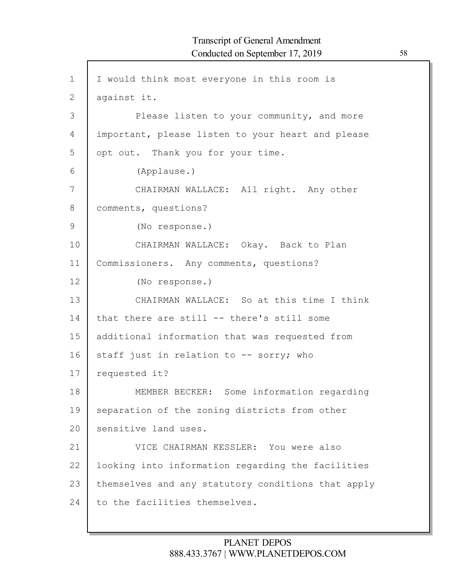1 2 3 4 5 6 7 8 9 10 11 12 13 14 15 16 17 18 19 20 21 22 23 24 I would think most everyone in this room is against it. Please listen to your community, and more important, please listen to your heart and please opt out. Thank you for your time. (Applause.) CHAIRMAN WALLACE: All right. Any other comments, questions? (No response.) CHAIRMAN WALLACE: Okay. Back to Plan Commissioners. Any comments, questions? (No response.) CHAIRMAN WALLACE: So at this time I think that there are still -- there's still some additional information that was requested from staff just in relation to -- sorry; who requested it? MEMBER BECKER: Some information regarding separation of the zoning districts from other sensitive land uses. VICE CHAIRMAN KESSLER: You were also looking into information regarding the facilities themselves and any statutory conditions that apply to the facilities themselves.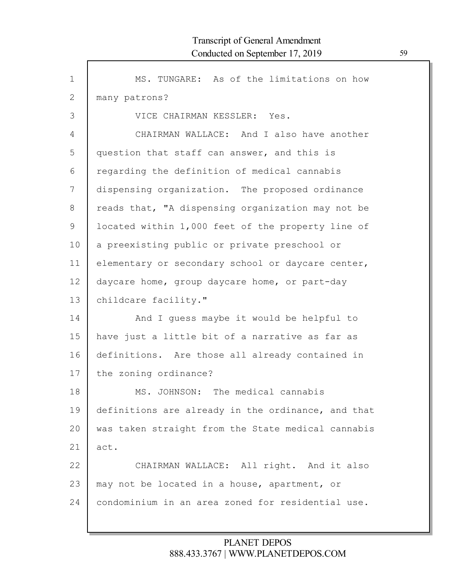Г

| $\mathbf{1}$  | MS. TUNGARE: As of the limitations on how          |
|---------------|----------------------------------------------------|
| $\mathbf{2}$  | many patrons?                                      |
| 3             | VICE CHAIRMAN KESSLER: Yes.                        |
| 4             | CHAIRMAN WALLACE: And I also have another          |
| 5             | question that staff can answer, and this is        |
| 6             | regarding the definition of medical cannabis       |
| 7             | dispensing organization. The proposed ordinance    |
| 8             | reads that, "A dispensing organization may not be  |
| $\mathcal{G}$ | located within 1,000 feet of the property line of  |
| 10            | a preexisting public or private preschool or       |
| 11            | elementary or secondary school or daycare center,  |
| 12            | daycare home, group daycare home, or part-day      |
| 13            | childcare facility."                               |
| 14            | And I guess maybe it would be helpful to           |
| 15            | have just a little bit of a narrative as far as    |
| 16            | definitions. Are those all already contained in    |
| 17            | the zoning ordinance?                              |
| 18            | MS. JOHNSON: The medical cannabis                  |
| 19            | definitions are already in the ordinance, and that |
| 20            | was taken straight from the State medical cannabis |
| 21            | act.                                               |
| 22            | CHAIRMAN WALLACE: All right. And it also           |
| 23            | may not be located in a house, apartment, or       |
| 24            | condominium in an area zoned for residential use.  |
|               |                                                    |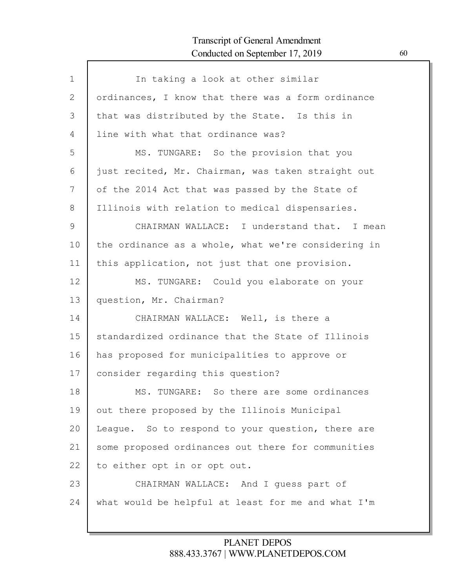| $\mathbf{1}$ | In taking a look at other similar                   |
|--------------|-----------------------------------------------------|
| 2            | ordinances, I know that there was a form ordinance  |
| 3            | that was distributed by the State. Is this in       |
| 4            | line with what that ordinance was?                  |
| 5            | MS. TUNGARE: So the provision that you              |
| 6            | just recited, Mr. Chairman, was taken straight out  |
| 7            | of the 2014 Act that was passed by the State of     |
| 8            | Illinois with relation to medical dispensaries.     |
| 9            | CHAIRMAN WALLACE: I understand that. I mean         |
| 10           | the ordinance as a whole, what we're considering in |
| 11           | this application, not just that one provision.      |
| 12           | MS. TUNGARE: Could you elaborate on your            |
| 13           | question, Mr. Chairman?                             |
| 14           | CHAIRMAN WALLACE: Well, is there a                  |
| 15           | standardized ordinance that the State of Illinois   |
| 16           | has proposed for municipalities to approve or       |
| 17           | consider regarding this question?                   |
| 18           | MS. TUNGARE: So there are some ordinances           |
| 19           | out there proposed by the Illinois Municipal        |
| 20           | League. So to respond to your question, there are   |
| 21           | some proposed ordinances out there for communities  |
| 22           | to either opt in or opt out.                        |
| 23           | CHAIRMAN WALLACE: And I quess part of               |
| 24           | what would be helpful at least for me and what I'm  |
|              |                                                     |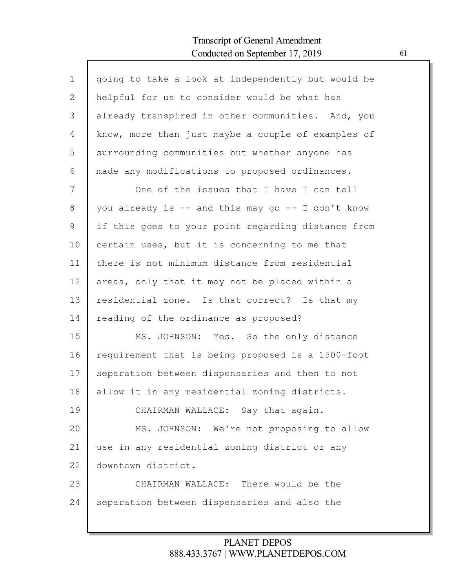Г

| $\mathbf{1}$ | going to take a look at independently but would be |
|--------------|----------------------------------------------------|
| 2            | helpful for us to consider would be what has       |
| 3            | already transpired in other communities. And, you  |
| 4            | know, more than just maybe a couple of examples of |
| 5            | surrounding communities but whether anyone has     |
| 6            | made any modifications to proposed ordinances.     |
| 7            | One of the issues that I have I can tell           |
| 8            | you already is -- and this may go -- I don't know  |
| 9            | if this goes to your point regarding distance from |
| 10           | certain uses, but it is concerning to me that      |
| 11           | there is not minimum distance from residential     |
| 12           | areas, only that it may not be placed within a     |
| 13           | residential zone. Is that correct? Is that my      |
| 14           | reading of the ordinance as proposed?              |
| 15           | MS. JOHNSON: Yes. So the only distance             |
| 16           | requirement that is being proposed is a 1500-foot  |
| 17           | separation between dispensaries and then to not    |
| 18           | allow it in any residential zoning districts.      |
| 19           | CHAIRMAN WALLACE: Say that again.                  |
| 20           | MS. JOHNSON: We're not proposing to allow          |
| 21           | use in any residential zoning district or any      |
| 22           | downtown district.                                 |
| 23           | CHAIRMAN WALLACE: There would be the               |
| 24           | separation between dispensaries and also the       |
|              |                                                    |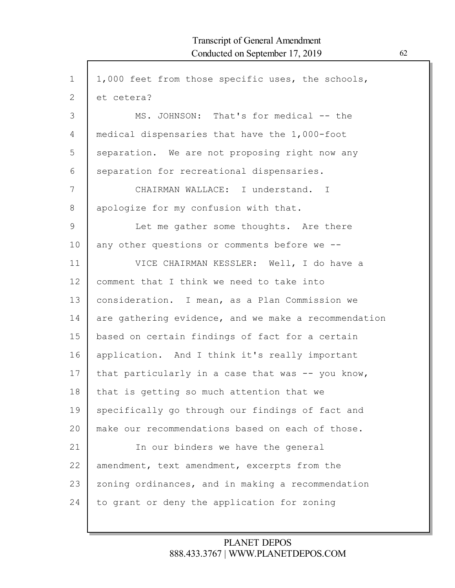$\mathsf{l}$ 

| $\mathbf 1$   | 1,000 feet from those specific uses, the schools,    |
|---------------|------------------------------------------------------|
| $\mathbf{2}$  | et cetera?                                           |
| 3             | MS. JOHNSON: That's for medical -- the               |
| 4             | medical dispensaries that have the 1,000-foot        |
| 5             | separation. We are not proposing right now any       |
| 6             | separation for recreational dispensaries.            |
| 7             | CHAIRMAN WALLACE: I understand. I                    |
| 8             | apologize for my confusion with that.                |
| $\mathcal{G}$ | Let me gather some thoughts. Are there               |
| 10            | any other questions or comments before we --         |
| 11            | VICE CHAIRMAN KESSLER: Well, I do have a             |
| 12            | comment that I think we need to take into            |
| 13            | consideration. I mean, as a Plan Commission we       |
| 14            | are gathering evidence, and we make a recommendation |
| 15            | based on certain findings of fact for a certain      |
| 16            | application. And I think it's really important       |
| 17            | that particularly in a case that was -- you know,    |
| 18            | that is getting so much attention that we            |
| 19            | specifically go through our findings of fact and     |
| 20            | make our recommendations based on each of those.     |
| 21            | In our binders we have the general                   |
| 22            | amendment, text amendment, excerpts from the         |
| 23            | zoning ordinances, and in making a recommendation    |
| 24            | to grant or deny the application for zoning          |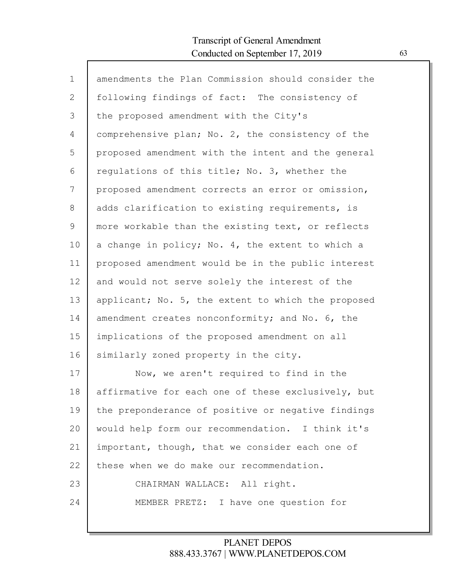| $\mathbf 1$ | amendments the Plan Commission should consider the |
|-------------|----------------------------------------------------|
| 2           | following findings of fact: The consistency of     |
| 3           | the proposed amendment with the City's             |
| 4           | comprehensive plan; No. 2, the consistency of the  |
| 5           | proposed amendment with the intent and the general |
| 6           | regulations of this title; No. 3, whether the      |
| 7           | proposed amendment corrects an error or omission,  |
| 8           | adds clarification to existing requirements, is    |
| 9           | more workable than the existing text, or reflects  |
| 10          | a change in policy; No. 4, the extent to which a   |
| 11          | proposed amendment would be in the public interest |
| 12          | and would not serve solely the interest of the     |
| 13          | applicant; No. 5, the extent to which the proposed |
| 14          | amendment creates nonconformity; and No. 6, the    |
| 15          | implications of the proposed amendment on all      |
| 16          | similarly zoned property in the city.              |
| 17          | Now, we aren't required to find in the             |
| 18          | affirmative for each one of these exclusively, but |
| 19          | the preponderance of positive or negative findings |
| 20          | would help form our recommendation. I think it's   |
| 21          | important, though, that we consider each one of    |
| 22          | these when we do make our recommendation.          |
| 23          | CHAIRMAN WALLACE: All right.                       |
| 24          | MEMBER PRETZ: I have one question for              |
|             |                                                    |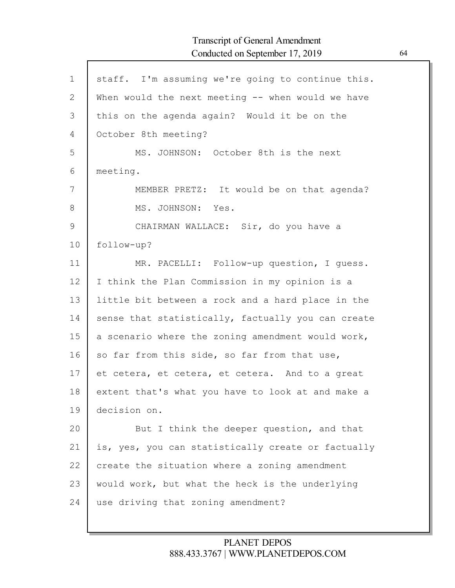| $\mathbf 1$ | staff. I'm assuming we're going to continue this.  |
|-------------|----------------------------------------------------|
| 2           | When would the next meeting -- when would we have  |
| 3           | this on the agenda again? Would it be on the       |
| 4           | October 8th meeting?                               |
| 5           | MS. JOHNSON: October 8th is the next               |
| 6           | meeting.                                           |
| 7           | MEMBER PRETZ: It would be on that agenda?          |
| 8           | MS. JOHNSON: Yes.                                  |
| 9           | CHAIRMAN WALLACE: Sir, do you have a               |
| 10          | follow-up?                                         |
| 11          | MR. PACELLI: Follow-up question, I quess.          |
| 12          | I think the Plan Commission in my opinion is a     |
| 13          | little bit between a rock and a hard place in the  |
| 14          | sense that statistically, factually you can create |
| 15          | a scenario where the zoning amendment would work,  |
| 16          | so far from this side, so far from that use,       |
| 17          | et cetera, et cetera, et cetera. And to a great    |
| 18          | extent that's what you have to look at and make a  |
| 19          | decision on.                                       |
| 20          | But I think the deeper question, and that          |
| 21          | is, yes, you can statistically create or factually |
| 22          | create the situation where a zoning amendment      |
| 23          | would work, but what the heck is the underlying    |
| 24          | use driving that zoning amendment?                 |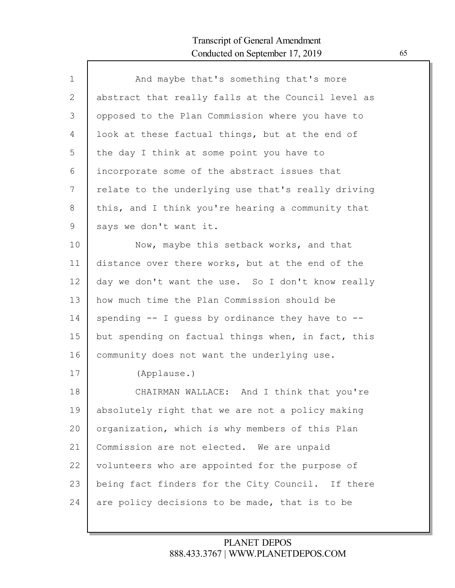| $\mathbf{1}$ | And maybe that's something that's more                 |
|--------------|--------------------------------------------------------|
| 2            | abstract that really falls at the Council level as     |
| 3            | opposed to the Plan Commission where you have to       |
| 4            | look at these factual things, but at the end of        |
| 5            | the day I think at some point you have to              |
| 6            | incorporate some of the abstract issues that           |
| 7            | relate to the underlying use that's really driving     |
| 8            | this, and I think you're hearing a community that      |
| 9            | says we don't want it.                                 |
| 10           | Now, maybe this setback works, and that                |
| 11           | distance over there works, but at the end of the       |
| 12           | day we don't want the use. So I don't know really      |
| 13           | how much time the Plan Commission should be            |
| 14           | spending $-$ - I quess by ordinance they have to $-$ - |
| 15           | but spending on factual things when, in fact, this     |
| 16           | community does not want the underlying use.            |
| 17           | (Applause.)                                            |
| 18           | CHAIRMAN WALLACE: And I think that you're              |
| 19           | absolutely right that we are not a policy making       |
| 20           | organization, which is why members of this Plan        |
| 21           | Commission are not elected. We are unpaid              |
| 22           | volunteers who are appointed for the purpose of        |
| 23           | being fact finders for the City Council. If there      |
| 24           | are policy decisions to be made, that is to be         |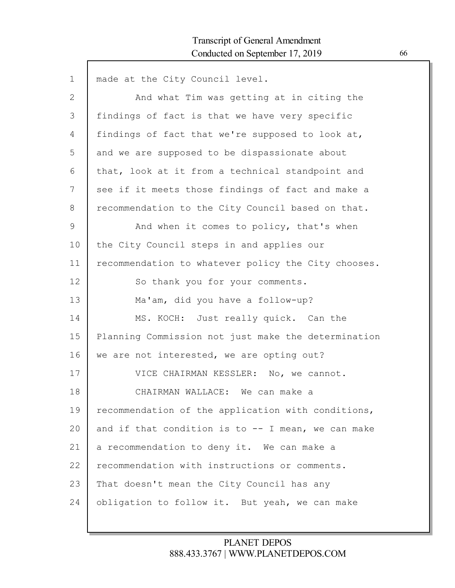| $\mathbf 1$ | made at the City Council level.                       |
|-------------|-------------------------------------------------------|
| 2           | And what Tim was getting at in citing the             |
| 3           | findings of fact is that we have very specific        |
| 4           | findings of fact that we're supposed to look at,      |
| 5           | and we are supposed to be dispassionate about         |
| 6           | that, look at it from a technical standpoint and      |
| 7           | see if it meets those findings of fact and make a     |
| 8           | recommendation to the City Council based on that.     |
| 9           | And when it comes to policy, that's when              |
| 10          | the City Council steps in and applies our             |
| 11          | recommendation to whatever policy the City chooses.   |
| 12          | So thank you for your comments.                       |
| 13          | Ma'am, did you have a follow-up?                      |
| 14          | MS. KOCH: Just really quick. Can the                  |
| 15          | Planning Commission not just make the determination   |
| 16          | we are not interested, we are opting out?             |
| 17          | VICE CHAIRMAN KESSLER: No, we cannot.                 |
| 18          | CHAIRMAN WALLACE: We can make a                       |
| 19          | recommendation of the application with conditions,    |
| 20          | and if that condition is to $-$ - I mean, we can make |
| 21          | a recommendation to deny it. We can make a            |
| 22          | recommendation with instructions or comments.         |
| 23          | That doesn't mean the City Council has any            |
| 24          | obligation to follow it. But yeah, we can make        |
|             |                                                       |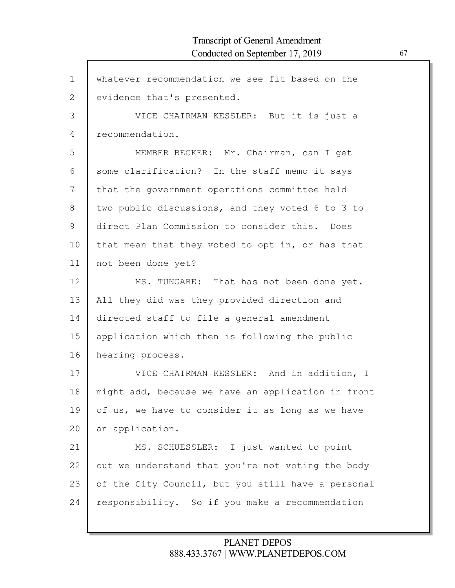Г

| $\mathbf{1}$  | whatever recommendation we see fit based on the    |
|---------------|----------------------------------------------------|
| $\mathbf{2}$  | evidence that's presented.                         |
| 3             | VICE CHAIRMAN KESSLER: But it is just a            |
| 4             | recommendation.                                    |
| 5             | MEMBER BECKER: Mr. Chairman, can I get             |
| 6             | some clarification? In the staff memo it says      |
| 7             | that the government operations committee held      |
| 8             | two public discussions, and they voted 6 to 3 to   |
| $\mathcal{G}$ | direct Plan Commission to consider this. Does      |
| 10            | that mean that they voted to opt in, or has that   |
| 11            | not been done yet?                                 |
| 12            | MS. TUNGARE: That has not been done yet.           |
| 13            | All they did was they provided direction and       |
| 14            | directed staff to file a general amendment         |
| 15            | application which then is following the public     |
| 16            | hearing process.                                   |
| 17            | VICE CHAIRMAN KESSLER: And in addition, I          |
| 18            | might add, because we have an application in front |
| 19            | of us, we have to consider it as long as we have   |
| 20            | an application.                                    |
| 21            | MS. SCHUESSLER: I just wanted to point             |
| 22            | out we understand that you're not voting the body  |
| 23            | of the City Council, but you still have a personal |
| 24            | responsibility. So if you make a recommendation    |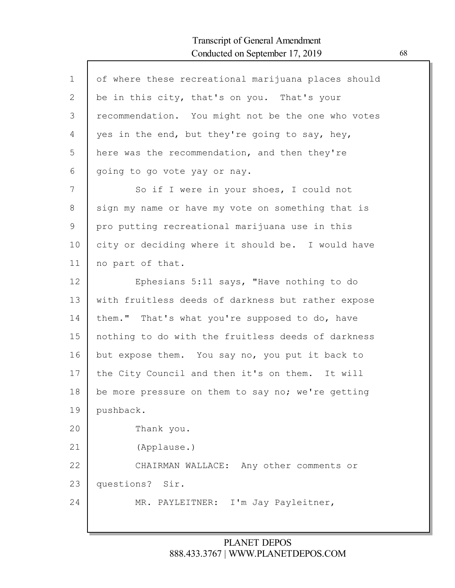| $\mathbf{1}$ | of where these recreational marijuana places should |
|--------------|-----------------------------------------------------|
| 2            | be in this city, that's on you. That's your         |
| 3            | recommendation. You might not be the one who votes  |
| 4            | yes in the end, but they're going to say, hey,      |
| 5            | here was the recommendation, and then they're       |
| 6            | going to go vote yay or nay.                        |
| 7            | So if I were in your shoes, I could not             |
| 8            | sign my name or have my vote on something that is   |
| 9            | pro putting recreational marijuana use in this      |
| 10           | city or deciding where it should be. I would have   |
| 11           | no part of that.                                    |
| 12           | Ephesians 5:11 says, "Have nothing to do            |
| 13           | with fruitless deeds of darkness but rather expose  |
| 14           | them." That's what you're supposed to do, have      |
| 15           | nothing to do with the fruitless deeds of darkness  |
| 16           | but expose them. You say no, you put it back to     |
| 17           | the City Council and then it's on them. It will     |
| 18           | be more pressure on them to say no; we're getting   |
| 19           | pushback.                                           |
| 20           | Thank you.                                          |
| 21           | (Applause.)                                         |
| 22           | CHAIRMAN WALLACE: Any other comments or             |
| 23           | questions? Sir.                                     |
| 24           | I'm Jay Payleitner,<br>MR. PAYLEITNER:              |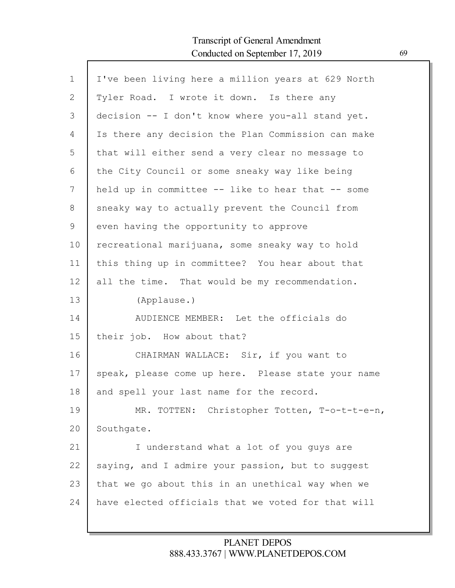Г

| $\mathbf 1$ | I've been living here a million years at 629 North |
|-------------|----------------------------------------------------|
| 2           | Tyler Road. I wrote it down. Is there any          |
| 3           | decision -- I don't know where you-all stand yet.  |
| 4           | Is there any decision the Plan Commission can make |
| 5           | that will either send a very clear no message to   |
| 6           | the City Council or some sneaky way like being     |
| 7           | held up in committee -- like to hear that -- some  |
| 8           | sneaky way to actually prevent the Council from    |
| 9           | even having the opportunity to approve             |
| 10          | recreational marijuana, some sneaky way to hold    |
| 11          | this thing up in committee? You hear about that    |
| 12          | all the time. That would be my recommendation.     |
| 13          | (Applause.)                                        |
| 14          | AUDIENCE MEMBER: Let the officials do              |
| 15          | their job. How about that?                         |
| 16          | CHAIRMAN WALLACE: Sir, if you want to              |
| 17          | speak, please come up here. Please state your name |
| 18          | and spell your last name for the record.           |
| 19          | MR. TOTTEN: Christopher Totten, T-o-t-t-e-n,       |
| 20          | Southgate.                                         |
| 21          | I understand what a lot of you quys are            |
| 22          | saying, and I admire your passion, but to suggest  |
| 23          | that we go about this in an unethical way when we  |
| 24          | have elected officials that we voted for that will |
|             |                                                    |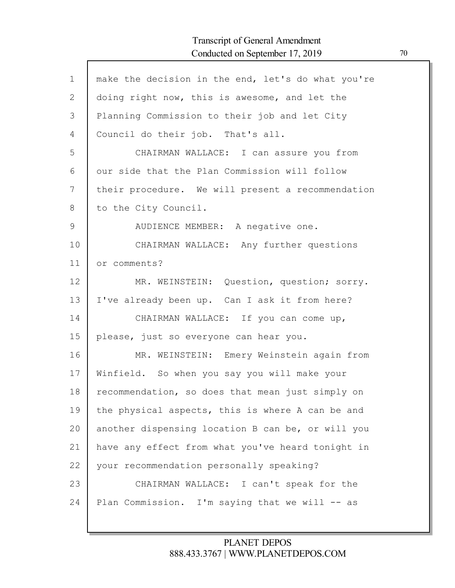Г

| $\mathbf{1}$ | make the decision in the end, let's do what you're |
|--------------|----------------------------------------------------|
| $\mathbf{2}$ | doing right now, this is awesome, and let the      |
| 3            | Planning Commission to their job and let City      |
| 4            | Council do their job. That's all.                  |
| 5            | CHAIRMAN WALLACE: I can assure you from            |
| 6            | our side that the Plan Commission will follow      |
| 7            | their procedure. We will present a recommendation  |
| 8            | to the City Council.                               |
| 9            | AUDIENCE MEMBER: A negative one.                   |
| 10           | CHAIRMAN WALLACE: Any further questions            |
| 11           | or comments?                                       |
| 12           | MR. WEINSTEIN: Question, question; sorry.          |
| 13           | I've already been up. Can I ask it from here?      |
| 14           | CHAIRMAN WALLACE: If you can come up,              |
| 15           | please, just so everyone can hear you.             |
| 16           | MR. WEINSTEIN: Emery Weinstein again from          |
| 17           | Winfield. So when you say you will make your       |
| 18           | recommendation, so does that mean just simply on   |
| 19           | the physical aspects, this is where A can be and   |
| 20           | another dispensing location B can be, or will you  |
| 21           | have any effect from what you've heard tonight in  |
| 22           | your recommendation personally speaking?           |
| 23           | CHAIRMAN WALLACE: I can't speak for the            |
| 24           | Plan Commission. I'm saying that we will -- as     |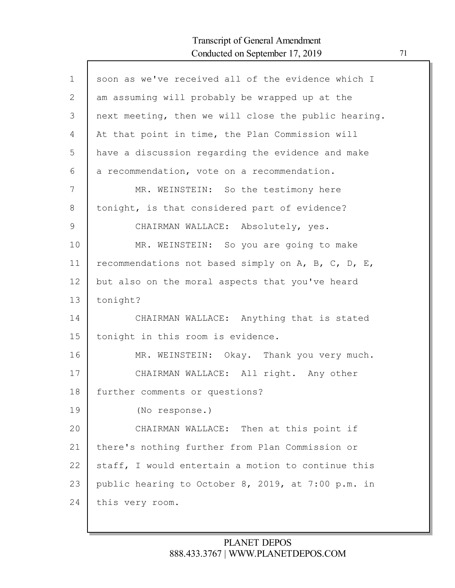| $\mathbf 1$ | soon as we've received all of the evidence which I   |
|-------------|------------------------------------------------------|
| 2           | am assuming will probably be wrapped up at the       |
| 3           | next meeting, then we will close the public hearing. |
| 4           | At that point in time, the Plan Commission will      |
| 5           | have a discussion regarding the evidence and make    |
| 6           | a recommendation, vote on a recommendation.          |
| 7           | MR. WEINSTEIN: So the testimony here                 |
| 8           | tonight, is that considered part of evidence?        |
| 9           | CHAIRMAN WALLACE: Absolutely, yes.                   |
| 10          | MR. WEINSTEIN: So you are going to make              |
| 11          | recommendations not based simply on A, B, C, D, E,   |
| 12          | but also on the moral aspects that you've heard      |
| 13          | tonight?                                             |
| 14          | CHAIRMAN WALLACE: Anything that is stated            |
| 15          | tonight in this room is evidence.                    |
| 16          | MR. WEINSTEIN: Okay. Thank you very much.            |
| 17          | CHAIRMAN WALLACE: All right. Any other               |
| 18          | further comments or questions?                       |
| 19          | (No response.)                                       |
| 20          | CHAIRMAN WALLACE: Then at this point if              |
| 21          | there's nothing further from Plan Commission or      |
| 22          | staff, I would entertain a motion to continue this   |
| 23          | public hearing to October 8, 2019, at 7:00 p.m. in   |
| 24          | this very room.                                      |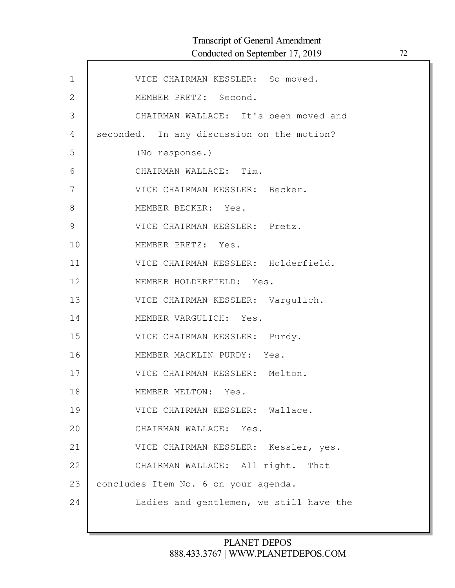| $\mathbf 1$  | VICE CHAIRMAN KESSLER: So moved.           |
|--------------|--------------------------------------------|
| $\mathbf{2}$ | MEMBER PRETZ: Second.                      |
| 3            | CHAIRMAN WALLACE: It's been moved and      |
| 4            | seconded. In any discussion on the motion? |
| 5            | (No response.)                             |
| 6            | CHAIRMAN WALLACE: Tim.                     |
| 7            | VICE CHAIRMAN KESSLER: Becker.             |
| 8            | MEMBER BECKER: Yes.                        |
| 9            | VICE CHAIRMAN KESSLER: Pretz.              |
| 10           | MEMBER PRETZ: Yes.                         |
| 11           | VICE CHAIRMAN KESSLER: Holderfield.        |
| 12           | MEMBER HOLDERFIELD: Yes.                   |
| 13           | VICE CHAIRMAN KESSLER: Vargulich.          |
| 14           | MEMBER VARGULICH: Yes.                     |
| 15           | VICE CHAIRMAN KESSLER: Purdy.              |
| 16           | MEMBER MACKLIN PURDY: Yes.                 |
| 17           | VICE CHAIRMAN KESSLER: Melton.             |
| 18           | MEMBER MELTON: Yes.                        |
| 19           | VICE CHAIRMAN KESSLER: Wallace.            |
| 20           | CHAIRMAN WALLACE: Yes.                     |
| 21           | VICE CHAIRMAN KESSLER: Kessler, yes.       |
| 22           | CHAIRMAN WALLACE: All right. That          |
| 23           | concludes Item No. 6 on your agenda.       |
| 24           | Ladies and gentlemen, we still have the    |
|              |                                            |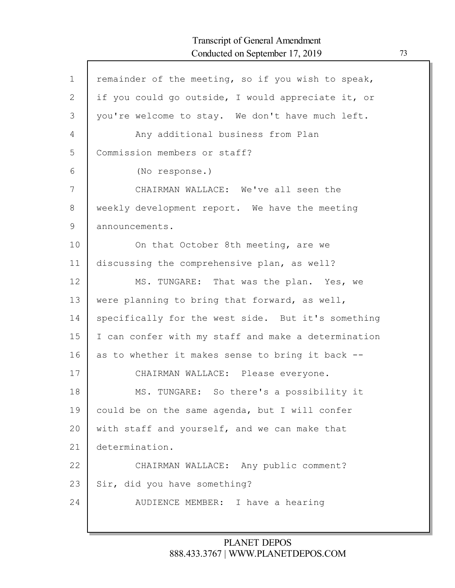| $\mathbf{1}$   | remainder of the meeting, so if you wish to speak,  |
|----------------|-----------------------------------------------------|
| $\mathbf{2}$   | if you could go outside, I would appreciate it, or  |
| 3              | you're welcome to stay. We don't have much left.    |
| $\overline{4}$ | Any additional business from Plan                   |
| 5              | Commission members or staff?                        |
| 6              | (No response.)                                      |
| 7              | CHAIRMAN WALLACE: We've all seen the                |
| 8              | weekly development report. We have the meeting      |
| 9              | announcements.                                      |
| 10             | On that October 8th meeting, are we                 |
| 11             | discussing the comprehensive plan, as well?         |
| 12             | MS. TUNGARE: That was the plan. Yes, we             |
| 13             | were planning to bring that forward, as well,       |
| 14             | specifically for the west side. But it's something  |
| 15             | I can confer with my staff and make a determination |
| 16             | as to whether it makes sense to bring it back --    |
| 17             | CHAIRMAN WALLACE: Please everyone.                  |
| 18             | MS. TUNGARE: So there's a possibility it            |
| 19             | could be on the same agenda, but I will confer      |
| 20             | with staff and yourself, and we can make that       |
| 21             | determination.                                      |
| 22             | CHAIRMAN WALLACE: Any public comment?               |
| 23             | Sir, did you have something?                        |
| 24             | AUDIENCE MEMBER: I have a hearing                   |
|                |                                                     |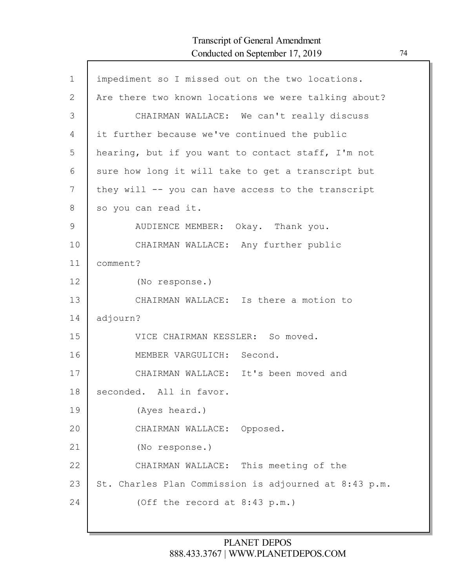| $\mathbf 1$ | impediment so I missed out on the two locations.      |
|-------------|-------------------------------------------------------|
| 2           | Are there two known locations we were talking about?  |
| 3           | CHAIRMAN WALLACE: We can't really discuss             |
| 4           | it further because we've continued the public         |
| 5           | hearing, but if you want to contact staff, I'm not    |
| 6           | sure how long it will take to get a transcript but    |
| 7           | they will -- you can have access to the transcript    |
| 8           | so you can read it.                                   |
| 9           | AUDIENCE MEMBER: Okay. Thank you.                     |
| 10          | CHAIRMAN WALLACE: Any further public                  |
| 11          | comment?                                              |
| 12          | (No response.)                                        |
| 13          | CHAIRMAN WALLACE: Is there a motion to                |
| 14          | adjourn?                                              |
| 15          | VICE CHAIRMAN KESSLER: So moved.                      |
| 16          | MEMBER VARGULICH: Second.                             |
| 17          | CHAIRMAN WALLACE: It's been moved and                 |
| 18          | seconded. All in favor.                               |
| 19          | (Ayes heard.)                                         |
| 20          | CHAIRMAN WALLACE: Opposed.                            |
| 21          | (No response.)                                        |
| 22          | CHAIRMAN WALLACE: This meeting of the                 |
| 23          | St. Charles Plan Commission is adjourned at 8:43 p.m. |
| 24          | (Off the record at 8:43 p.m.)                         |
|             |                                                       |